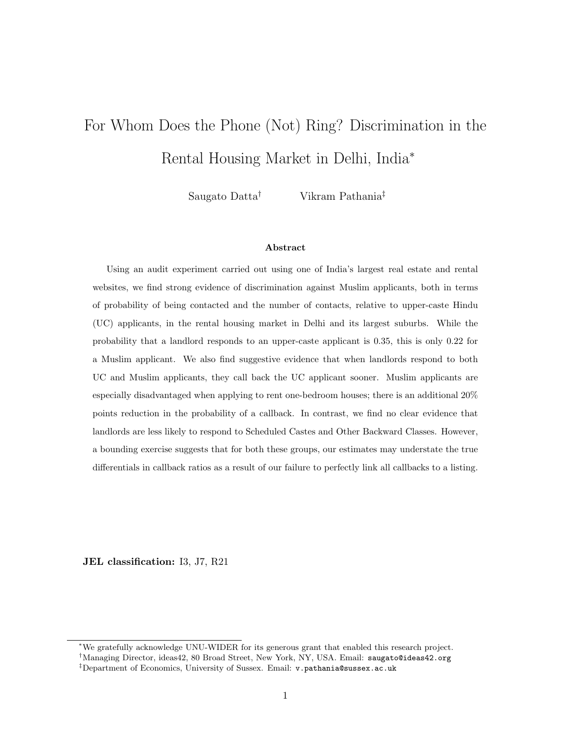# For Whom Does the Phone (Not) Ring? Discrimination in the Rental Housing Market in Delhi, India<sup>∗</sup>

Saugato Datta† Vikram Pathania‡

#### Abstract

Using an audit experiment carried out using one of India's largest real estate and rental websites, we find strong evidence of discrimination against Muslim applicants, both in terms of probability of being contacted and the number of contacts, relative to upper-caste Hindu (UC) applicants, in the rental housing market in Delhi and its largest suburbs. While the probability that a landlord responds to an upper-caste applicant is 0.35, this is only 0.22 for a Muslim applicant. We also find suggestive evidence that when landlords respond to both UC and Muslim applicants, they call back the UC applicant sooner. Muslim applicants are especially disadvantaged when applying to rent one-bedroom houses; there is an additional 20% points reduction in the probability of a callback. In contrast, we find no clear evidence that landlords are less likely to respond to Scheduled Castes and Other Backward Classes. However, a bounding exercise suggests that for both these groups, our estimates may understate the true differentials in callback ratios as a result of our failure to perfectly link all callbacks to a listing.

JEL classification: I3, J7, R21

<sup>∗</sup>We gratefully acknowledge UNU-WIDER for its generous grant that enabled this research project.

<sup>†</sup>Managing Director, ideas42, 80 Broad Street, New York, NY, USA. Email: saugato@ideas42.org

<sup>‡</sup>Department of Economics, University of Sussex. Email: v.pathania@sussex.ac.uk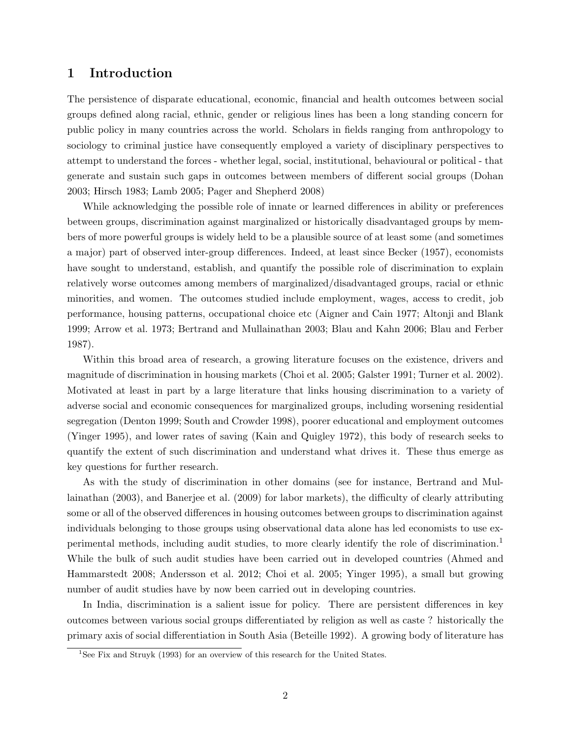### 1 Introduction

The persistence of disparate educational, economic, financial and health outcomes between social groups defined along racial, ethnic, gender or religious lines has been a long standing concern for public policy in many countries across the world. Scholars in fields ranging from anthropology to sociology to criminal justice have consequently employed a variety of disciplinary perspectives to attempt to understand the forces - whether legal, social, institutional, behavioural or political - that generate and sustain such gaps in outcomes between members of different social groups (Dohan 2003; Hirsch 1983; Lamb 2005; Pager and Shepherd 2008)

While acknowledging the possible role of innate or learned differences in ability or preferences between groups, discrimination against marginalized or historically disadvantaged groups by members of more powerful groups is widely held to be a plausible source of at least some (and sometimes a major) part of observed inter-group differences. Indeed, at least since Becker (1957), economists have sought to understand, establish, and quantify the possible role of discrimination to explain relatively worse outcomes among members of marginalized/disadvantaged groups, racial or ethnic minorities, and women. The outcomes studied include employment, wages, access to credit, job performance, housing patterns, occupational choice etc (Aigner and Cain 1977; Altonji and Blank 1999; Arrow et al. 1973; Bertrand and Mullainathan 2003; Blau and Kahn 2006; Blau and Ferber 1987).

Within this broad area of research, a growing literature focuses on the existence, drivers and magnitude of discrimination in housing markets (Choi et al. 2005; Galster 1991; Turner et al. 2002). Motivated at least in part by a large literature that links housing discrimination to a variety of adverse social and economic consequences for marginalized groups, including worsening residential segregation (Denton 1999; South and Crowder 1998), poorer educational and employment outcomes (Yinger 1995), and lower rates of saving (Kain and Quigley 1972), this body of research seeks to quantify the extent of such discrimination and understand what drives it. These thus emerge as key questions for further research.

As with the study of discrimination in other domains (see for instance, Bertrand and Mullainathan (2003), and Banerjee et al. (2009) for labor markets), the difficulty of clearly attributing some or all of the observed differences in housing outcomes between groups to discrimination against individuals belonging to those groups using observational data alone has led economists to use experimental methods, including audit studies, to more clearly identify the role of discrimination.<sup>1</sup> While the bulk of such audit studies have been carried out in developed countries (Ahmed and Hammarstedt 2008; Andersson et al. 2012; Choi et al. 2005; Yinger 1995), a small but growing number of audit studies have by now been carried out in developing countries.

In India, discrimination is a salient issue for policy. There are persistent differences in key outcomes between various social groups differentiated by religion as well as caste ? historically the primary axis of social differentiation in South Asia (Beteille 1992). A growing body of literature has

<sup>&</sup>lt;sup>1</sup>See Fix and Struyk (1993) for an overview of this research for the United States.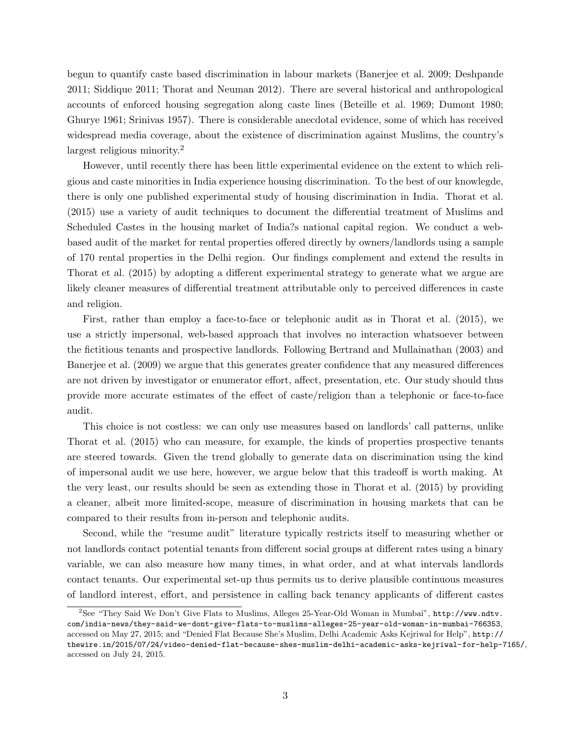begun to quantify caste based discrimination in labour markets (Banerjee et al. 2009; Deshpande 2011; Siddique 2011; Thorat and Neuman 2012). There are several historical and anthropological accounts of enforced housing segregation along caste lines (Beteille et al. 1969; Dumont 1980; Ghurye 1961; Srinivas 1957). There is considerable anecdotal evidence, some of which has received widespread media coverage, about the existence of discrimination against Muslims, the country's largest religious minority.<sup>2</sup>

However, until recently there has been little experimental evidence on the extent to which religious and caste minorities in India experience housing discrimination. To the best of our knowlegde, there is only one published experimental study of housing discrimination in India. Thorat et al. (2015) use a variety of audit techniques to document the differential treatment of Muslims and Scheduled Castes in the housing market of India?s national capital region. We conduct a webbased audit of the market for rental properties offered directly by owners/landlords using a sample of 170 rental properties in the Delhi region. Our findings complement and extend the results in Thorat et al. (2015) by adopting a different experimental strategy to generate what we argue are likely cleaner measures of differential treatment attributable only to perceived differences in caste and religion.

First, rather than employ a face-to-face or telephonic audit as in Thorat et al. (2015), we use a strictly impersonal, web-based approach that involves no interaction whatsoever between the fictitious tenants and prospective landlords. Following Bertrand and Mullainathan (2003) and Banerjee et al. (2009) we argue that this generates greater confidence that any measured differences are not driven by investigator or enumerator effort, affect, presentation, etc. Our study should thus provide more accurate estimates of the effect of caste/religion than a telephonic or face-to-face audit.

This choice is not costless: we can only use measures based on landlords' call patterns, unlike Thorat et al. (2015) who can measure, for example, the kinds of properties prospective tenants are steered towards. Given the trend globally to generate data on discrimination using the kind of impersonal audit we use here, however, we argue below that this tradeoff is worth making. At the very least, our results should be seen as extending those in Thorat et al. (2015) by providing a cleaner, albeit more limited-scope, measure of discrimination in housing markets that can be compared to their results from in-person and telephonic audits.

Second, while the "resume audit" literature typically restricts itself to measuring whether or not landlords contact potential tenants from different social groups at different rates using a binary variable, we can also measure how many times, in what order, and at what intervals landlords contact tenants. Our experimental set-up thus permits us to derive plausible continuous measures of landlord interest, effort, and persistence in calling back tenancy applicants of different castes

<sup>2</sup>See "They Said We Don't Give Flats to Muslims, Alleges 25-Year-Old Woman in Mumbai", http://www.ndtv. com/india-news/they-said-we-dont-give-flats-to-muslims-alleges-25-year-old-woman-in-mumbai-766353, accessed on May 27, 2015; and "Denied Flat Because She's Muslim, Delhi Academic Asks Kejriwal for Help", http:// thewire.in/2015/07/24/video-denied-flat-because-shes-muslim-delhi-academic-asks-kejriwal-for-help-7165/, accessed on July 24, 2015.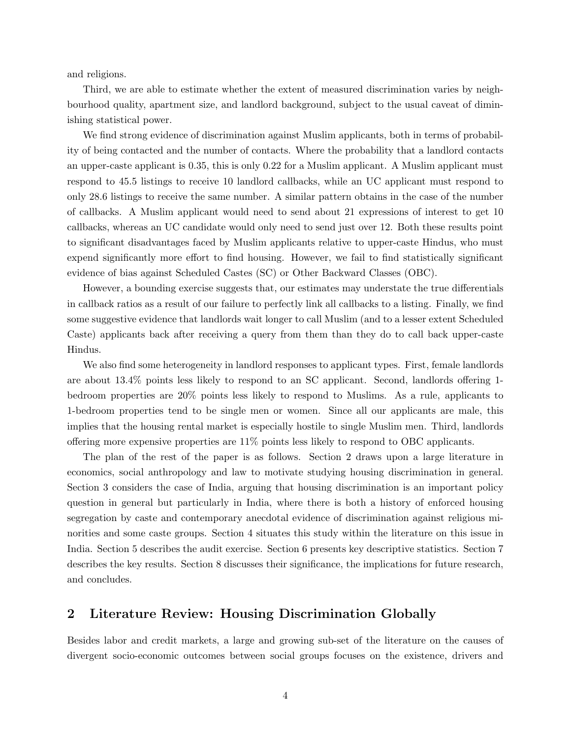and religions.

Third, we are able to estimate whether the extent of measured discrimination varies by neighbourhood quality, apartment size, and landlord background, subject to the usual caveat of diminishing statistical power.

We find strong evidence of discrimination against Muslim applicants, both in terms of probability of being contacted and the number of contacts. Where the probability that a landlord contacts an upper-caste applicant is 0.35, this is only 0.22 for a Muslim applicant. A Muslim applicant must respond to 45.5 listings to receive 10 landlord callbacks, while an UC applicant must respond to only 28.6 listings to receive the same number. A similar pattern obtains in the case of the number of callbacks. A Muslim applicant would need to send about 21 expressions of interest to get 10 callbacks, whereas an UC candidate would only need to send just over 12. Both these results point to significant disadvantages faced by Muslim applicants relative to upper-caste Hindus, who must expend significantly more effort to find housing. However, we fail to find statistically significant evidence of bias against Scheduled Castes (SC) or Other Backward Classes (OBC).

However, a bounding exercise suggests that, our estimates may understate the true differentials in callback ratios as a result of our failure to perfectly link all callbacks to a listing. Finally, we find some suggestive evidence that landlords wait longer to call Muslim (and to a lesser extent Scheduled Caste) applicants back after receiving a query from them than they do to call back upper-caste Hindus.

We also find some heterogeneity in landlord responses to applicant types. First, female landlords are about 13.4% points less likely to respond to an SC applicant. Second, landlords offering 1 bedroom properties are 20% points less likely to respond to Muslims. As a rule, applicants to 1-bedroom properties tend to be single men or women. Since all our applicants are male, this implies that the housing rental market is especially hostile to single Muslim men. Third, landlords offering more expensive properties are 11% points less likely to respond to OBC applicants.

The plan of the rest of the paper is as follows. Section 2 draws upon a large literature in economics, social anthropology and law to motivate studying housing discrimination in general. Section 3 considers the case of India, arguing that housing discrimination is an important policy question in general but particularly in India, where there is both a history of enforced housing segregation by caste and contemporary anecdotal evidence of discrimination against religious minorities and some caste groups. Section 4 situates this study within the literature on this issue in India. Section 5 describes the audit exercise. Section 6 presents key descriptive statistics. Section 7 describes the key results. Section 8 discusses their significance, the implications for future research, and concludes.

### 2 Literature Review: Housing Discrimination Globally

Besides labor and credit markets, a large and growing sub-set of the literature on the causes of divergent socio-economic outcomes between social groups focuses on the existence, drivers and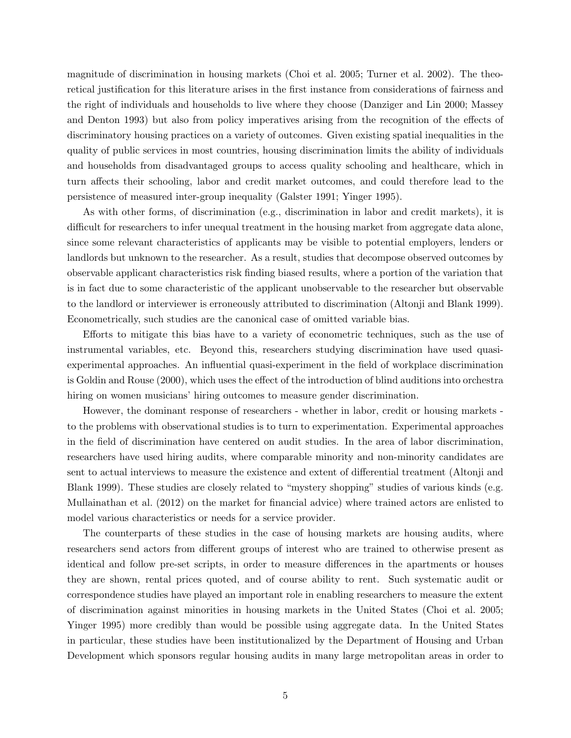magnitude of discrimination in housing markets (Choi et al. 2005; Turner et al. 2002). The theoretical justification for this literature arises in the first instance from considerations of fairness and the right of individuals and households to live where they choose (Danziger and Lin 2000; Massey and Denton 1993) but also from policy imperatives arising from the recognition of the effects of discriminatory housing practices on a variety of outcomes. Given existing spatial inequalities in the quality of public services in most countries, housing discrimination limits the ability of individuals and households from disadvantaged groups to access quality schooling and healthcare, which in turn affects their schooling, labor and credit market outcomes, and could therefore lead to the persistence of measured inter-group inequality (Galster 1991; Yinger 1995).

As with other forms, of discrimination (e.g., discrimination in labor and credit markets), it is difficult for researchers to infer unequal treatment in the housing market from aggregate data alone, since some relevant characteristics of applicants may be visible to potential employers, lenders or landlords but unknown to the researcher. As a result, studies that decompose observed outcomes by observable applicant characteristics risk finding biased results, where a portion of the variation that is in fact due to some characteristic of the applicant unobservable to the researcher but observable to the landlord or interviewer is erroneously attributed to discrimination (Altonji and Blank 1999). Econometrically, such studies are the canonical case of omitted variable bias.

Efforts to mitigate this bias have to a variety of econometric techniques, such as the use of instrumental variables, etc. Beyond this, researchers studying discrimination have used quasiexperimental approaches. An influential quasi-experiment in the field of workplace discrimination is Goldin and Rouse (2000), which uses the effect of the introduction of blind auditions into orchestra hiring on women musicians' hiring outcomes to measure gender discrimination.

However, the dominant response of researchers - whether in labor, credit or housing markets to the problems with observational studies is to turn to experimentation. Experimental approaches in the field of discrimination have centered on audit studies. In the area of labor discrimination, researchers have used hiring audits, where comparable minority and non-minority candidates are sent to actual interviews to measure the existence and extent of differential treatment (Altonji and Blank 1999). These studies are closely related to "mystery shopping" studies of various kinds (e.g. Mullainathan et al. (2012) on the market for financial advice) where trained actors are enlisted to model various characteristics or needs for a service provider.

The counterparts of these studies in the case of housing markets are housing audits, where researchers send actors from different groups of interest who are trained to otherwise present as identical and follow pre-set scripts, in order to measure differences in the apartments or houses they are shown, rental prices quoted, and of course ability to rent. Such systematic audit or correspondence studies have played an important role in enabling researchers to measure the extent of discrimination against minorities in housing markets in the United States (Choi et al. 2005; Yinger 1995) more credibly than would be possible using aggregate data. In the United States in particular, these studies have been institutionalized by the Department of Housing and Urban Development which sponsors regular housing audits in many large metropolitan areas in order to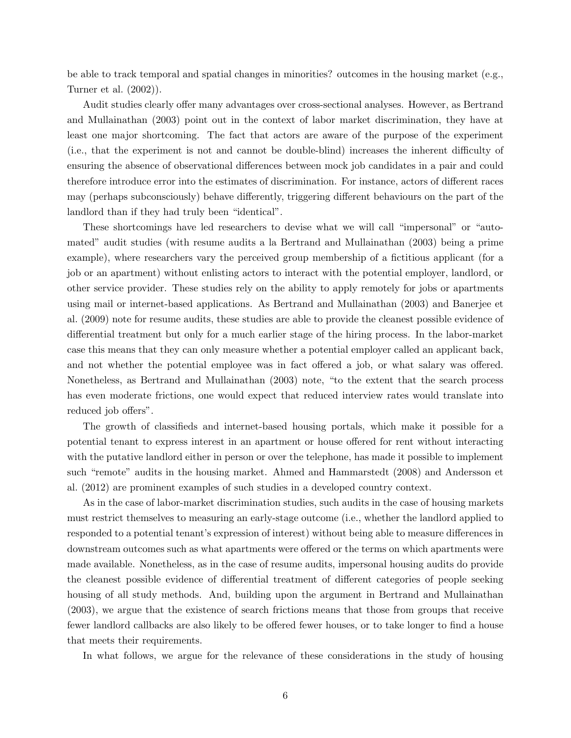be able to track temporal and spatial changes in minorities? outcomes in the housing market (e.g., Turner et al. (2002)).

Audit studies clearly offer many advantages over cross-sectional analyses. However, as Bertrand and Mullainathan (2003) point out in the context of labor market discrimination, they have at least one major shortcoming. The fact that actors are aware of the purpose of the experiment (i.e., that the experiment is not and cannot be double-blind) increases the inherent difficulty of ensuring the absence of observational differences between mock job candidates in a pair and could therefore introduce error into the estimates of discrimination. For instance, actors of different races may (perhaps subconsciously) behave differently, triggering different behaviours on the part of the landlord than if they had truly been "identical".

These shortcomings have led researchers to devise what we will call "impersonal" or "automated" audit studies (with resume audits a la Bertrand and Mullainathan (2003) being a prime example), where researchers vary the perceived group membership of a fictitious applicant (for a job or an apartment) without enlisting actors to interact with the potential employer, landlord, or other service provider. These studies rely on the ability to apply remotely for jobs or apartments using mail or internet-based applications. As Bertrand and Mullainathan (2003) and Banerjee et al. (2009) note for resume audits, these studies are able to provide the cleanest possible evidence of differential treatment but only for a much earlier stage of the hiring process. In the labor-market case this means that they can only measure whether a potential employer called an applicant back, and not whether the potential employee was in fact offered a job, or what salary was offered. Nonetheless, as Bertrand and Mullainathan (2003) note, "to the extent that the search process has even moderate frictions, one would expect that reduced interview rates would translate into reduced job offers".

The growth of classifieds and internet-based housing portals, which make it possible for a potential tenant to express interest in an apartment or house offered for rent without interacting with the putative landlord either in person or over the telephone, has made it possible to implement such "remote" audits in the housing market. Ahmed and Hammarstedt (2008) and Andersson et al. (2012) are prominent examples of such studies in a developed country context.

As in the case of labor-market discrimination studies, such audits in the case of housing markets must restrict themselves to measuring an early-stage outcome (i.e., whether the landlord applied to responded to a potential tenant's expression of interest) without being able to measure differences in downstream outcomes such as what apartments were offered or the terms on which apartments were made available. Nonetheless, as in the case of resume audits, impersonal housing audits do provide the cleanest possible evidence of differential treatment of different categories of people seeking housing of all study methods. And, building upon the argument in Bertrand and Mullainathan (2003), we argue that the existence of search frictions means that those from groups that receive fewer landlord callbacks are also likely to be offered fewer houses, or to take longer to find a house that meets their requirements.

In what follows, we argue for the relevance of these considerations in the study of housing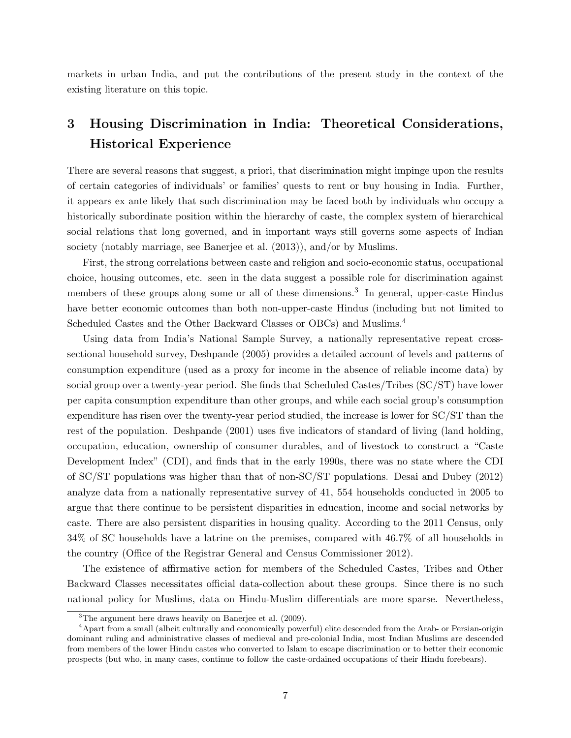markets in urban India, and put the contributions of the present study in the context of the existing literature on this topic.

## 3 Housing Discrimination in India: Theoretical Considerations, Historical Experience

There are several reasons that suggest, a priori, that discrimination might impinge upon the results of certain categories of individuals' or families' quests to rent or buy housing in India. Further, it appears ex ante likely that such discrimination may be faced both by individuals who occupy a historically subordinate position within the hierarchy of caste, the complex system of hierarchical social relations that long governed, and in important ways still governs some aspects of Indian society (notably marriage, see Banerjee et al. (2013)), and/or by Muslims.

First, the strong correlations between caste and religion and socio-economic status, occupational choice, housing outcomes, etc. seen in the data suggest a possible role for discrimination against members of these groups along some or all of these dimensions.<sup>3</sup> In general, upper-caste Hindus have better economic outcomes than both non-upper-caste Hindus (including but not limited to Scheduled Castes and the Other Backward Classes or OBCs) and Muslims.<sup>4</sup>

Using data from India's National Sample Survey, a nationally representative repeat crosssectional household survey, Deshpande (2005) provides a detailed account of levels and patterns of consumption expenditure (used as a proxy for income in the absence of reliable income data) by social group over a twenty-year period. She finds that Scheduled Castes/Tribes (SC/ST) have lower per capita consumption expenditure than other groups, and while each social group's consumption expenditure has risen over the twenty-year period studied, the increase is lower for SC/ST than the rest of the population. Deshpande (2001) uses five indicators of standard of living (land holding, occupation, education, ownership of consumer durables, and of livestock to construct a "Caste Development Index" (CDI), and finds that in the early 1990s, there was no state where the CDI of SC/ST populations was higher than that of non-SC/ST populations. Desai and Dubey (2012) analyze data from a nationally representative survey of 41, 554 households conducted in 2005 to argue that there continue to be persistent disparities in education, income and social networks by caste. There are also persistent disparities in housing quality. According to the 2011 Census, only 34% of SC households have a latrine on the premises, compared with 46.7% of all households in the country (Office of the Registrar General and Census Commissioner 2012).

The existence of affirmative action for members of the Scheduled Castes, Tribes and Other Backward Classes necessitates official data-collection about these groups. Since there is no such national policy for Muslims, data on Hindu-Muslim differentials are more sparse. Nevertheless,

<sup>3</sup>The argument here draws heavily on Banerjee et al. (2009).

<sup>4</sup>Apart from a small (albeit culturally and economically powerful) elite descended from the Arab- or Persian-origin dominant ruling and administrative classes of medieval and pre-colonial India, most Indian Muslims are descended from members of the lower Hindu castes who converted to Islam to escape discrimination or to better their economic prospects (but who, in many cases, continue to follow the caste-ordained occupations of their Hindu forebears).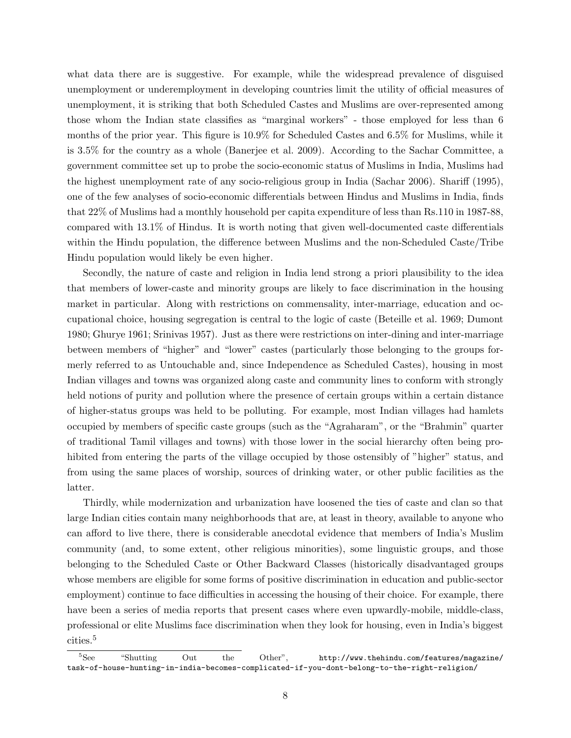what data there are is suggestive. For example, while the widespread prevalence of disguised unemployment or underemployment in developing countries limit the utility of official measures of unemployment, it is striking that both Scheduled Castes and Muslims are over-represented among those whom the Indian state classifies as "marginal workers" - those employed for less than 6 months of the prior year. This figure is 10.9% for Scheduled Castes and 6.5% for Muslims, while it is 3.5% for the country as a whole (Banerjee et al. 2009). According to the Sachar Committee, a government committee set up to probe the socio-economic status of Muslims in India, Muslims had the highest unemployment rate of any socio-religious group in India (Sachar 2006). Shariff (1995), one of the few analyses of socio-economic differentials between Hindus and Muslims in India, finds that 22% of Muslims had a monthly household per capita expenditure of less than Rs.110 in 1987-88, compared with 13.1% of Hindus. It is worth noting that given well-documented caste differentials within the Hindu population, the difference between Muslims and the non-Scheduled Caste/Tribe Hindu population would likely be even higher.

Secondly, the nature of caste and religion in India lend strong a priori plausibility to the idea that members of lower-caste and minority groups are likely to face discrimination in the housing market in particular. Along with restrictions on commensality, inter-marriage, education and occupational choice, housing segregation is central to the logic of caste (Beteille et al. 1969; Dumont 1980; Ghurye 1961; Srinivas 1957). Just as there were restrictions on inter-dining and inter-marriage between members of "higher" and "lower" castes (particularly those belonging to the groups formerly referred to as Untouchable and, since Independence as Scheduled Castes), housing in most Indian villages and towns was organized along caste and community lines to conform with strongly held notions of purity and pollution where the presence of certain groups within a certain distance of higher-status groups was held to be polluting. For example, most Indian villages had hamlets occupied by members of specific caste groups (such as the "Agraharam", or the "Brahmin" quarter of traditional Tamil villages and towns) with those lower in the social hierarchy often being prohibited from entering the parts of the village occupied by those ostensibly of "higher" status, and from using the same places of worship, sources of drinking water, or other public facilities as the latter.

Thirdly, while modernization and urbanization have loosened the ties of caste and clan so that large Indian cities contain many neighborhoods that are, at least in theory, available to anyone who can afford to live there, there is considerable anecdotal evidence that members of India's Muslim community (and, to some extent, other religious minorities), some linguistic groups, and those belonging to the Scheduled Caste or Other Backward Classes (historically disadvantaged groups whose members are eligible for some forms of positive discrimination in education and public-sector employment) continue to face difficulties in accessing the housing of their choice. For example, there have been a series of media reports that present cases where even upwardly-mobile, middle-class, professional or elite Muslims face discrimination when they look for housing, even in India's biggest cities.<sup>5</sup>

<sup>&</sup>lt;sup>5</sup>See "Shutting Out the Other", http://www.thehindu.com/features/magazine/ task-of-house-hunting-in-india-becomes-complicated-if-you-dont-belong-to-the-right-religion/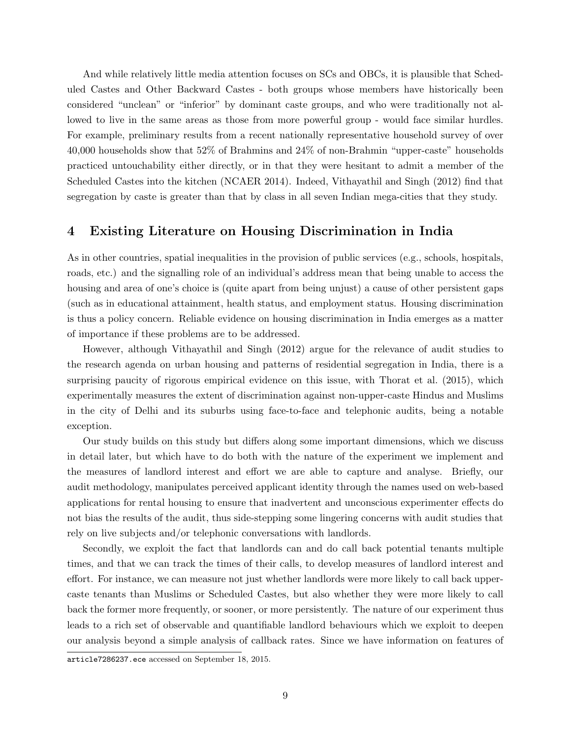And while relatively little media attention focuses on SCs and OBCs, it is plausible that Scheduled Castes and Other Backward Castes - both groups whose members have historically been considered "unclean" or "inferior" by dominant caste groups, and who were traditionally not allowed to live in the same areas as those from more powerful group - would face similar hurdles. For example, preliminary results from a recent nationally representative household survey of over 40,000 households show that 52% of Brahmins and 24% of non-Brahmin "upper-caste" households practiced untouchability either directly, or in that they were hesitant to admit a member of the Scheduled Castes into the kitchen (NCAER 2014). Indeed, Vithayathil and Singh (2012) find that segregation by caste is greater than that by class in all seven Indian mega-cities that they study.

#### 4 Existing Literature on Housing Discrimination in India

As in other countries, spatial inequalities in the provision of public services (e.g., schools, hospitals, roads, etc.) and the signalling role of an individual's address mean that being unable to access the housing and area of one's choice is (quite apart from being unjust) a cause of other persistent gaps (such as in educational attainment, health status, and employment status. Housing discrimination is thus a policy concern. Reliable evidence on housing discrimination in India emerges as a matter of importance if these problems are to be addressed.

However, although Vithayathil and Singh (2012) argue for the relevance of audit studies to the research agenda on urban housing and patterns of residential segregation in India, there is a surprising paucity of rigorous empirical evidence on this issue, with Thorat et al. (2015), which experimentally measures the extent of discrimination against non-upper-caste Hindus and Muslims in the city of Delhi and its suburbs using face-to-face and telephonic audits, being a notable exception.

Our study builds on this study but differs along some important dimensions, which we discuss in detail later, but which have to do both with the nature of the experiment we implement and the measures of landlord interest and effort we are able to capture and analyse. Briefly, our audit methodology, manipulates perceived applicant identity through the names used on web-based applications for rental housing to ensure that inadvertent and unconscious experimenter effects do not bias the results of the audit, thus side-stepping some lingering concerns with audit studies that rely on live subjects and/or telephonic conversations with landlords.

Secondly, we exploit the fact that landlords can and do call back potential tenants multiple times, and that we can track the times of their calls, to develop measures of landlord interest and effort. For instance, we can measure not just whether landlords were more likely to call back uppercaste tenants than Muslims or Scheduled Castes, but also whether they were more likely to call back the former more frequently, or sooner, or more persistently. The nature of our experiment thus leads to a rich set of observable and quantifiable landlord behaviours which we exploit to deepen our analysis beyond a simple analysis of callback rates. Since we have information on features of

article7286237.ece accessed on September 18, 2015.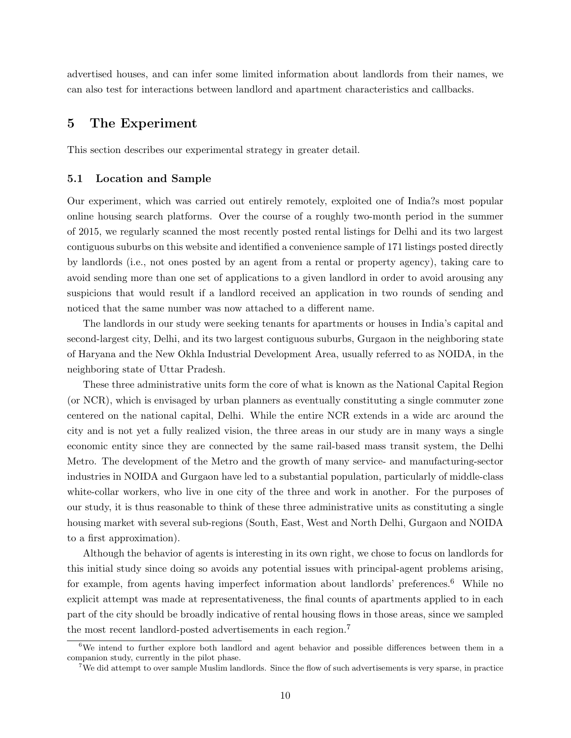advertised houses, and can infer some limited information about landlords from their names, we can also test for interactions between landlord and apartment characteristics and callbacks.

#### 5 The Experiment

This section describes our experimental strategy in greater detail.

#### 5.1 Location and Sample

Our experiment, which was carried out entirely remotely, exploited one of India?s most popular online housing search platforms. Over the course of a roughly two-month period in the summer of 2015, we regularly scanned the most recently posted rental listings for Delhi and its two largest contiguous suburbs on this website and identified a convenience sample of 171 listings posted directly by landlords (i.e., not ones posted by an agent from a rental or property agency), taking care to avoid sending more than one set of applications to a given landlord in order to avoid arousing any suspicions that would result if a landlord received an application in two rounds of sending and noticed that the same number was now attached to a different name.

The landlords in our study were seeking tenants for apartments or houses in India's capital and second-largest city, Delhi, and its two largest contiguous suburbs, Gurgaon in the neighboring state of Haryana and the New Okhla Industrial Development Area, usually referred to as NOIDA, in the neighboring state of Uttar Pradesh.

These three administrative units form the core of what is known as the National Capital Region (or NCR), which is envisaged by urban planners as eventually constituting a single commuter zone centered on the national capital, Delhi. While the entire NCR extends in a wide arc around the city and is not yet a fully realized vision, the three areas in our study are in many ways a single economic entity since they are connected by the same rail-based mass transit system, the Delhi Metro. The development of the Metro and the growth of many service- and manufacturing-sector industries in NOIDA and Gurgaon have led to a substantial population, particularly of middle-class white-collar workers, who live in one city of the three and work in another. For the purposes of our study, it is thus reasonable to think of these three administrative units as constituting a single housing market with several sub-regions (South, East, West and North Delhi, Gurgaon and NOIDA to a first approximation).

Although the behavior of agents is interesting in its own right, we chose to focus on landlords for this initial study since doing so avoids any potential issues with principal-agent problems arising, for example, from agents having imperfect information about landlords' preferences.<sup>6</sup> While no explicit attempt was made at representativeness, the final counts of apartments applied to in each part of the city should be broadly indicative of rental housing flows in those areas, since we sampled the most recent landlord-posted advertisements in each region.<sup>7</sup>

 $6\text{We intend to further explore both landidord and agent behavior and possible differences between them in a }$ companion study, currently in the pilot phase.

<sup>7</sup>We did attempt to over sample Muslim landlords. Since the flow of such advertisements is very sparse, in practice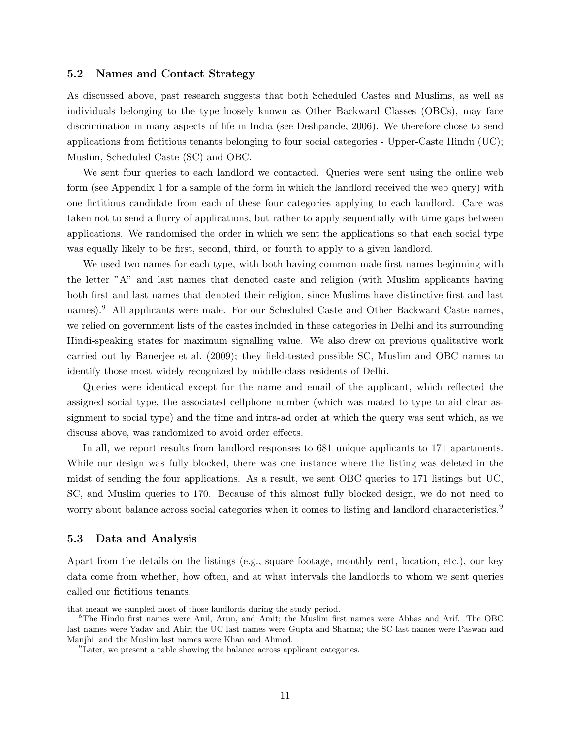#### 5.2 Names and Contact Strategy

As discussed above, past research suggests that both Scheduled Castes and Muslims, as well as individuals belonging to the type loosely known as Other Backward Classes (OBCs), may face discrimination in many aspects of life in India (see Deshpande, 2006). We therefore chose to send applications from fictitious tenants belonging to four social categories - Upper-Caste Hindu (UC); Muslim, Scheduled Caste (SC) and OBC.

We sent four queries to each landlord we contacted. Queries were sent using the online web form (see Appendix 1 for a sample of the form in which the landlord received the web query) with one fictitious candidate from each of these four categories applying to each landlord. Care was taken not to send a flurry of applications, but rather to apply sequentially with time gaps between applications. We randomised the order in which we sent the applications so that each social type was equally likely to be first, second, third, or fourth to apply to a given landlord.

We used two names for each type, with both having common male first names beginning with the letter "A" and last names that denoted caste and religion (with Muslim applicants having both first and last names that denoted their religion, since Muslims have distinctive first and last names).<sup>8</sup> All applicants were male. For our Scheduled Caste and Other Backward Caste names, we relied on government lists of the castes included in these categories in Delhi and its surrounding Hindi-speaking states for maximum signalling value. We also drew on previous qualitative work carried out by Banerjee et al. (2009); they field-tested possible SC, Muslim and OBC names to identify those most widely recognized by middle-class residents of Delhi.

Queries were identical except for the name and email of the applicant, which reflected the assigned social type, the associated cellphone number (which was mated to type to aid clear assignment to social type) and the time and intra-ad order at which the query was sent which, as we discuss above, was randomized to avoid order effects.

In all, we report results from landlord responses to 681 unique applicants to 171 apartments. While our design was fully blocked, there was one instance where the listing was deleted in the midst of sending the four applications. As a result, we sent OBC queries to 171 listings but UC, SC, and Muslim queries to 170. Because of this almost fully blocked design, we do not need to worry about balance across social categories when it comes to listing and landlord characteristics.<sup>9</sup>

#### 5.3 Data and Analysis

Apart from the details on the listings (e.g., square footage, monthly rent, location, etc.), our key data come from whether, how often, and at what intervals the landlords to whom we sent queries called our fictitious tenants.

that meant we sampled most of those landlords during the study period.

<sup>8</sup>The Hindu first names were Anil, Arun, and Amit; the Muslim first names were Abbas and Arif. The OBC last names were Yadav and Ahir; the UC last names were Gupta and Sharma; the SC last names were Paswan and Manjhi; and the Muslim last names were Khan and Ahmed.

<sup>&</sup>lt;sup>9</sup>Later, we present a table showing the balance across applicant categories.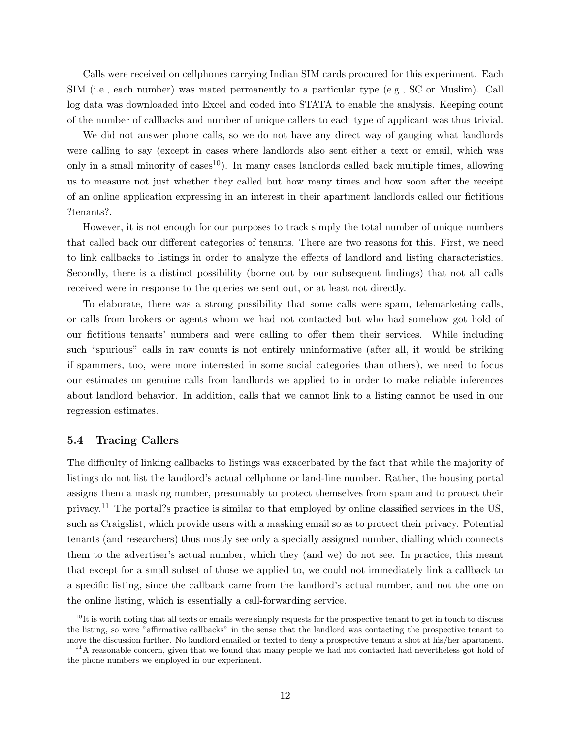Calls were received on cellphones carrying Indian SIM cards procured for this experiment. Each SIM (i.e., each number) was mated permanently to a particular type (e.g., SC or Muslim). Call log data was downloaded into Excel and coded into STATA to enable the analysis. Keeping count of the number of callbacks and number of unique callers to each type of applicant was thus trivial.

We did not answer phone calls, so we do not have any direct way of gauging what landlords were calling to say (except in cases where landlords also sent either a text or email, which was only in a small minority of cases<sup>10</sup>). In many cases landlords called back multiple times, allowing us to measure not just whether they called but how many times and how soon after the receipt of an online application expressing in an interest in their apartment landlords called our fictitious ?tenants?.

However, it is not enough for our purposes to track simply the total number of unique numbers that called back our different categories of tenants. There are two reasons for this. First, we need to link callbacks to listings in order to analyze the effects of landlord and listing characteristics. Secondly, there is a distinct possibility (borne out by our subsequent findings) that not all calls received were in response to the queries we sent out, or at least not directly.

To elaborate, there was a strong possibility that some calls were spam, telemarketing calls, or calls from brokers or agents whom we had not contacted but who had somehow got hold of our fictitious tenants' numbers and were calling to offer them their services. While including such "spurious" calls in raw counts is not entirely uninformative (after all, it would be striking if spammers, too, were more interested in some social categories than others), we need to focus our estimates on genuine calls from landlords we applied to in order to make reliable inferences about landlord behavior. In addition, calls that we cannot link to a listing cannot be used in our regression estimates.

#### 5.4 Tracing Callers

The difficulty of linking callbacks to listings was exacerbated by the fact that while the majority of listings do not list the landlord's actual cellphone or land-line number. Rather, the housing portal assigns them a masking number, presumably to protect themselves from spam and to protect their privacy.<sup>11</sup> The portal?s practice is similar to that employed by online classified services in the US, such as Craigslist, which provide users with a masking email so as to protect their privacy. Potential tenants (and researchers) thus mostly see only a specially assigned number, dialling which connects them to the advertiser's actual number, which they (and we) do not see. In practice, this meant that except for a small subset of those we applied to, we could not immediately link a callback to a specific listing, since the callback came from the landlord's actual number, and not the one on the online listing, which is essentially a call-forwarding service.

 $10$ It is worth noting that all texts or emails were simply requests for the prospective tenant to get in touch to discuss the listing, so were "affirmative callbacks" in the sense that the landlord was contacting the prospective tenant to move the discussion further. No landlord emailed or texted to deny a prospective tenant a shot at his/her apartment.

<sup>&</sup>lt;sup>11</sup>A reasonable concern, given that we found that many people we had not contacted had nevertheless got hold of the phone numbers we employed in our experiment.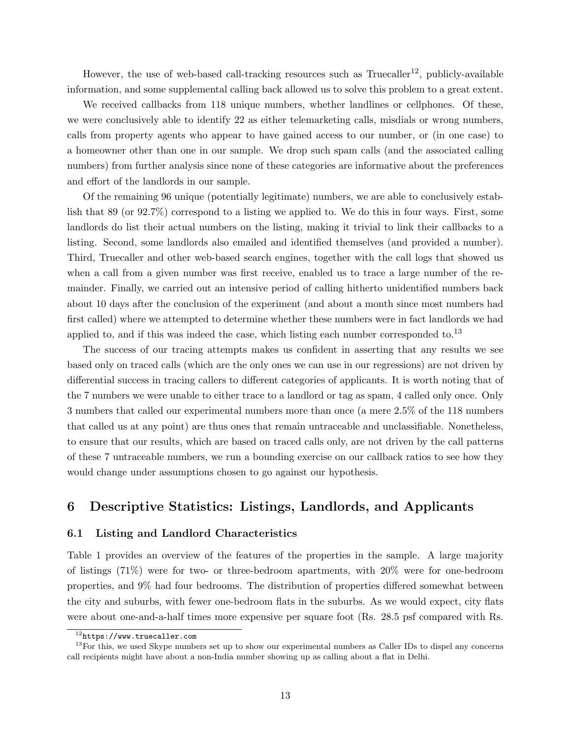However, the use of web-based call-tracking resources such as  $Truecaller^{12}$ , publicly-available information, and some supplemental calling back allowed us to solve this problem to a great extent.

We received callbacks from 118 unique numbers, whether landlines or cellphones. Of these, we were conclusively able to identify 22 as either telemarketing calls, misdials or wrong numbers, calls from property agents who appear to have gained access to our number, or (in one case) to a homeowner other than one in our sample. We drop such spam calls (and the associated calling numbers) from further analysis since none of these categories are informative about the preferences and effort of the landlords in our sample.

Of the remaining 96 unique (potentially legitimate) numbers, we are able to conclusively establish that 89 (or 92.7%) correspond to a listing we applied to. We do this in four ways. First, some landlords do list their actual numbers on the listing, making it trivial to link their callbacks to a listing. Second, some landlords also emailed and identified themselves (and provided a number). Third, Truecaller and other web-based search engines, together with the call logs that showed us when a call from a given number was first receive, enabled us to trace a large number of the remainder. Finally, we carried out an intensive period of calling hitherto unidentified numbers back about 10 days after the conclusion of the experiment (and about a month since most numbers had first called) where we attempted to determine whether these numbers were in fact landlords we had applied to, and if this was indeed the case, which listing each number corresponded to.<sup>13</sup>

The success of our tracing attempts makes us confident in asserting that any results we see based only on traced calls (which are the only ones we can use in our regressions) are not driven by differential success in tracing callers to different categories of applicants. It is worth noting that of the 7 numbers we were unable to either trace to a landlord or tag as spam, 4 called only once. Only 3 numbers that called our experimental numbers more than once (a mere 2.5% of the 118 numbers that called us at any point) are thus ones that remain untraceable and unclassifiable. Nonetheless, to ensure that our results, which are based on traced calls only, are not driven by the call patterns of these 7 untraceable numbers, we run a bounding exercise on our callback ratios to see how they would change under assumptions chosen to go against our hypothesis.

### 6 Descriptive Statistics: Listings, Landlords, and Applicants

#### 6.1 Listing and Landlord Characteristics

Table 1 provides an overview of the features of the properties in the sample. A large majority of listings (71%) were for two- or three-bedroom apartments, with 20% were for one-bedroom properties, and 9% had four bedrooms. The distribution of properties differed somewhat between the city and suburbs, with fewer one-bedroom flats in the suburbs. As we would expect, city flats were about one-and-a-half times more expensive per square foot (Rs. 28.5 psf compared with Rs.

<sup>12</sup>https://www.truecaller.com

<sup>&</sup>lt;sup>13</sup>For this, we used Skype numbers set up to show our experimental numbers as Caller IDs to dispel any concerns call recipients might have about a non-India number showing up as calling about a flat in Delhi.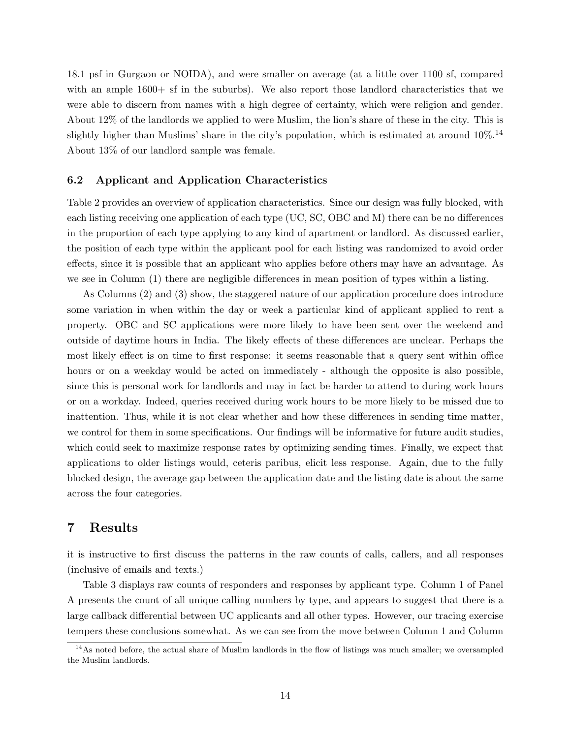18.1 psf in Gurgaon or NOIDA), and were smaller on average (at a little over 1100 sf, compared with an ample  $1600+$  sf in the suburbs). We also report those landlord characteristics that we were able to discern from names with a high degree of certainty, which were religion and gender. About 12% of the landlords we applied to were Muslim, the lion's share of these in the city. This is slightly higher than Muslims' share in the city's population, which is estimated at around  $10\%$ .<sup>14</sup> About 13% of our landlord sample was female.

#### 6.2 Applicant and Application Characteristics

Table 2 provides an overview of application characteristics. Since our design was fully blocked, with each listing receiving one application of each type (UC, SC, OBC and M) there can be no differences in the proportion of each type applying to any kind of apartment or landlord. As discussed earlier, the position of each type within the applicant pool for each listing was randomized to avoid order effects, since it is possible that an applicant who applies before others may have an advantage. As we see in Column (1) there are negligible differences in mean position of types within a listing.

As Columns (2) and (3) show, the staggered nature of our application procedure does introduce some variation in when within the day or week a particular kind of applicant applied to rent a property. OBC and SC applications were more likely to have been sent over the weekend and outside of daytime hours in India. The likely effects of these differences are unclear. Perhaps the most likely effect is on time to first response: it seems reasonable that a query sent within office hours or on a weekday would be acted on immediately - although the opposite is also possible, since this is personal work for landlords and may in fact be harder to attend to during work hours or on a workday. Indeed, queries received during work hours to be more likely to be missed due to inattention. Thus, while it is not clear whether and how these differences in sending time matter, we control for them in some specifications. Our findings will be informative for future audit studies, which could seek to maximize response rates by optimizing sending times. Finally, we expect that applications to older listings would, ceteris paribus, elicit less response. Again, due to the fully blocked design, the average gap between the application date and the listing date is about the same across the four categories.

### 7 Results

it is instructive to first discuss the patterns in the raw counts of calls, callers, and all responses (inclusive of emails and texts.)

Table 3 displays raw counts of responders and responses by applicant type. Column 1 of Panel A presents the count of all unique calling numbers by type, and appears to suggest that there is a large callback differential between UC applicants and all other types. However, our tracing exercise tempers these conclusions somewhat. As we can see from the move between Column 1 and Column

 $14$ As noted before, the actual share of Muslim landlords in the flow of listings was much smaller; we oversampled the Muslim landlords.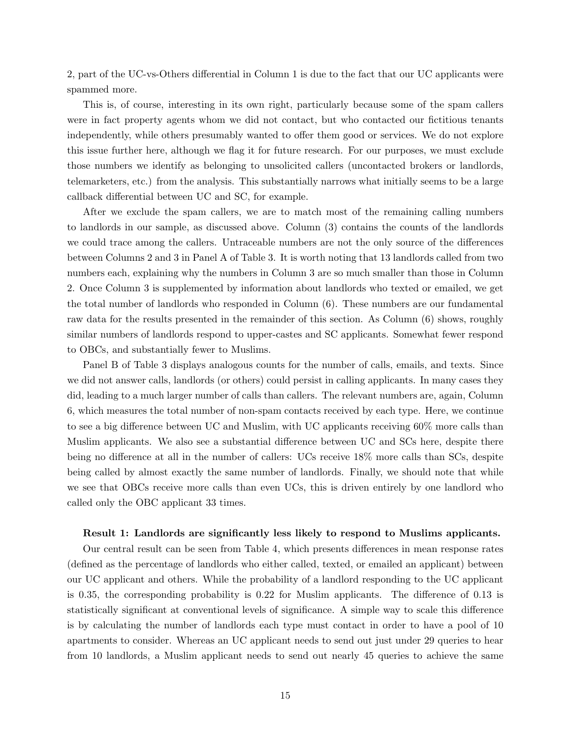2, part of the UC-vs-Others differential in Column 1 is due to the fact that our UC applicants were spammed more.

This is, of course, interesting in its own right, particularly because some of the spam callers were in fact property agents whom we did not contact, but who contacted our fictitious tenants independently, while others presumably wanted to offer them good or services. We do not explore this issue further here, although we flag it for future research. For our purposes, we must exclude those numbers we identify as belonging to unsolicited callers (uncontacted brokers or landlords, telemarketers, etc.) from the analysis. This substantially narrows what initially seems to be a large callback differential between UC and SC, for example.

After we exclude the spam callers, we are to match most of the remaining calling numbers to landlords in our sample, as discussed above. Column (3) contains the counts of the landlords we could trace among the callers. Untraceable numbers are not the only source of the differences between Columns 2 and 3 in Panel A of Table 3. It is worth noting that 13 landlords called from two numbers each, explaining why the numbers in Column 3 are so much smaller than those in Column 2. Once Column 3 is supplemented by information about landlords who texted or emailed, we get the total number of landlords who responded in Column (6). These numbers are our fundamental raw data for the results presented in the remainder of this section. As Column (6) shows, roughly similar numbers of landlords respond to upper-castes and SC applicants. Somewhat fewer respond to OBCs, and substantially fewer to Muslims.

Panel B of Table 3 displays analogous counts for the number of calls, emails, and texts. Since we did not answer calls, landlords (or others) could persist in calling applicants. In many cases they did, leading to a much larger number of calls than callers. The relevant numbers are, again, Column 6, which measures the total number of non-spam contacts received by each type. Here, we continue to see a big difference between UC and Muslim, with UC applicants receiving 60% more calls than Muslim applicants. We also see a substantial difference between UC and SCs here, despite there being no difference at all in the number of callers: UCs receive 18% more calls than SCs, despite being called by almost exactly the same number of landlords. Finally, we should note that while we see that OBCs receive more calls than even UCs, this is driven entirely by one landlord who called only the OBC applicant 33 times.

#### Result 1: Landlords are significantly less likely to respond to Muslims applicants.

Our central result can be seen from Table 4, which presents differences in mean response rates (defined as the percentage of landlords who either called, texted, or emailed an applicant) between our UC applicant and others. While the probability of a landlord responding to the UC applicant is 0.35, the corresponding probability is 0.22 for Muslim applicants. The difference of 0.13 is statistically significant at conventional levels of significance. A simple way to scale this difference is by calculating the number of landlords each type must contact in order to have a pool of 10 apartments to consider. Whereas an UC applicant needs to send out just under 29 queries to hear from 10 landlords, a Muslim applicant needs to send out nearly 45 queries to achieve the same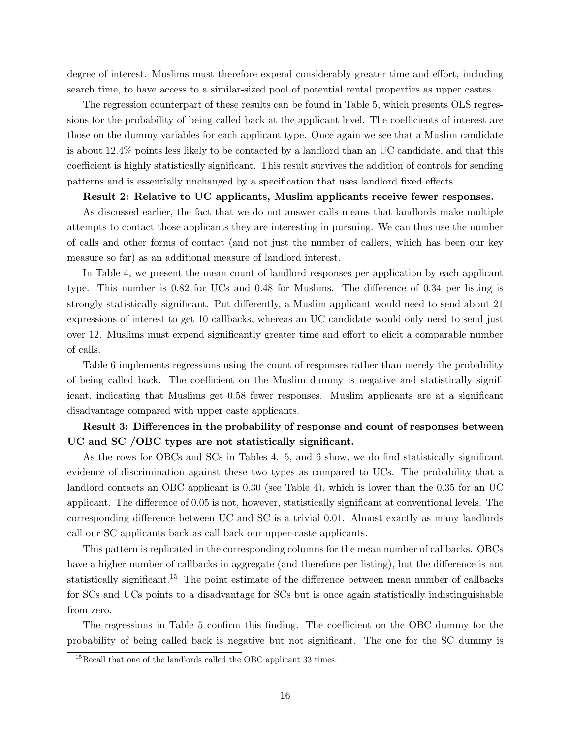degree of interest. Muslims must therefore expend considerably greater time and effort, including search time, to have access to a similar-sized pool of potential rental properties as upper castes.

The regression counterpart of these results can be found in Table 5, which presents OLS regressions for the probability of being called back at the applicant level. The coefficients of interest are those on the dummy variables for each applicant type. Once again we see that a Muslim candidate is about 12.4% points less likely to be contacted by a landlord than an UC candidate, and that this coefficient is highly statistically significant. This result survives the addition of controls for sending patterns and is essentially unchanged by a specification that uses landlord fixed effects.

#### Result 2: Relative to UC applicants, Muslim applicants receive fewer responses.

As discussed earlier, the fact that we do not answer calls means that landlords make multiple attempts to contact those applicants they are interesting in pursuing. We can thus use the number of calls and other forms of contact (and not just the number of callers, which has been our key measure so far) as an additional measure of landlord interest.

In Table 4, we present the mean count of landlord responses per application by each applicant type. This number is 0.82 for UCs and 0.48 for Muslims. The difference of 0.34 per listing is strongly statistically significant. Put differently, a Muslim applicant would need to send about 21 expressions of interest to get 10 callbacks, whereas an UC candidate would only need to send just over 12. Muslims must expend significantly greater time and effort to elicit a comparable number of calls.

Table 6 implements regressions using the count of responses rather than merely the probability of being called back. The coefficient on the Muslim dummy is negative and statistically significant, indicating that Muslims get 0.58 fewer responses. Muslim applicants are at a significant disadvantage compared with upper caste applicants.

### Result 3: Differences in the probability of response and count of responses between UC and SC /OBC types are not statistically significant.

As the rows for OBCs and SCs in Tables 4. 5, and 6 show, we do find statistically significant evidence of discrimination against these two types as compared to UCs. The probability that a landlord contacts an OBC applicant is 0.30 (see Table 4), which is lower than the 0.35 for an UC applicant. The difference of 0.05 is not, however, statistically significant at conventional levels. The corresponding difference between UC and SC is a trivial 0.01. Almost exactly as many landlords call our SC applicants back as call back our upper-caste applicants.

This pattern is replicated in the corresponding columns for the mean number of callbacks. OBCs have a higher number of callbacks in aggregate (and therefore per listing), but the difference is not statistically significant.<sup>15</sup> The point estimate of the difference between mean number of callbacks for SCs and UCs points to a disadvantage for SCs but is once again statistically indistinguishable from zero.

The regressions in Table 5 confirm this finding. The coefficient on the OBC dummy for the probability of being called back is negative but not significant. The one for the SC dummy is

 $15$ Recall that one of the landlords called the OBC applicant 33 times.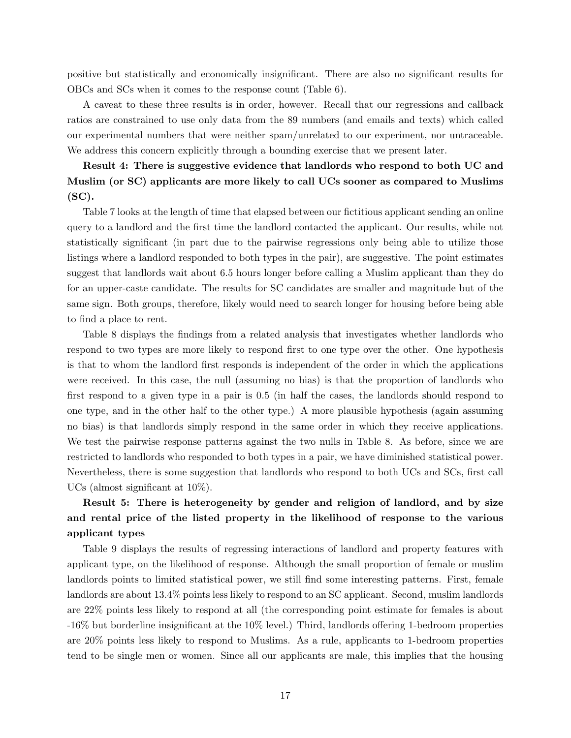positive but statistically and economically insignificant. There are also no significant results for OBCs and SCs when it comes to the response count (Table 6).

A caveat to these three results is in order, however. Recall that our regressions and callback ratios are constrained to use only data from the 89 numbers (and emails and texts) which called our experimental numbers that were neither spam/unrelated to our experiment, nor untraceable. We address this concern explicitly through a bounding exercise that we present later.

### Result 4: There is suggestive evidence that landlords who respond to both UC and Muslim (or SC) applicants are more likely to call UCs sooner as compared to Muslims  $(SC)$ .

Table 7 looks at the length of time that elapsed between our fictitious applicant sending an online query to a landlord and the first time the landlord contacted the applicant. Our results, while not statistically significant (in part due to the pairwise regressions only being able to utilize those listings where a landlord responded to both types in the pair), are suggestive. The point estimates suggest that landlords wait about 6.5 hours longer before calling a Muslim applicant than they do for an upper-caste candidate. The results for SC candidates are smaller and magnitude but of the same sign. Both groups, therefore, likely would need to search longer for housing before being able to find a place to rent.

Table 8 displays the findings from a related analysis that investigates whether landlords who respond to two types are more likely to respond first to one type over the other. One hypothesis is that to whom the landlord first responds is independent of the order in which the applications were received. In this case, the null (assuming no bias) is that the proportion of landlords who first respond to a given type in a pair is 0.5 (in half the cases, the landlords should respond to one type, and in the other half to the other type.) A more plausible hypothesis (again assuming no bias) is that landlords simply respond in the same order in which they receive applications. We test the pairwise response patterns against the two nulls in Table 8. As before, since we are restricted to landlords who responded to both types in a pair, we have diminished statistical power. Nevertheless, there is some suggestion that landlords who respond to both UCs and SCs, first call UCs (almost significant at 10%).

### Result 5: There is heterogeneity by gender and religion of landlord, and by size and rental price of the listed property in the likelihood of response to the various applicant types

Table 9 displays the results of regressing interactions of landlord and property features with applicant type, on the likelihood of response. Although the small proportion of female or muslim landlords points to limited statistical power, we still find some interesting patterns. First, female landlords are about 13.4% points less likely to respond to an SC applicant. Second, muslim landlords are 22% points less likely to respond at all (the corresponding point estimate for females is about -16% but borderline insignificant at the 10% level.) Third, landlords offering 1-bedroom properties are 20% points less likely to respond to Muslims. As a rule, applicants to 1-bedroom properties tend to be single men or women. Since all our applicants are male, this implies that the housing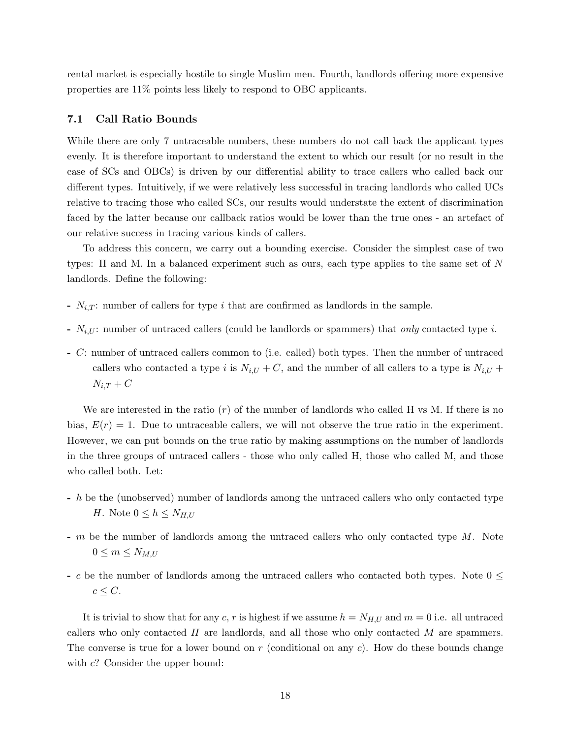rental market is especially hostile to single Muslim men. Fourth, landlords offering more expensive properties are 11% points less likely to respond to OBC applicants.

#### 7.1 Call Ratio Bounds

While there are only 7 untraceable numbers, these numbers do not call back the applicant types evenly. It is therefore important to understand the extent to which our result (or no result in the case of SCs and OBCs) is driven by our differential ability to trace callers who called back our different types. Intuitively, if we were relatively less successful in tracing landlords who called UCs relative to tracing those who called SCs, our results would understate the extent of discrimination faced by the latter because our callback ratios would be lower than the true ones - an artefact of our relative success in tracing various kinds of callers.

To address this concern, we carry out a bounding exercise. Consider the simplest case of two types: H and M. In a balanced experiment such as ours, each type applies to the same set of N landlords. Define the following:

- $N_{i,T}$ : number of callers for type i that are confirmed as landlords in the sample.
- $N_{i,U}$ : number of untraced callers (could be landlords or spammers) that *only* contacted type *i*.
- C: number of untraced callers common to (i.e. called) both types. Then the number of untraced callers who contacted a type i is  $N_{i,U} + C$ , and the number of all callers to a type is  $N_{i,U}$  +  $N_{i,T}$  +  $C$

We are interested in the ratio  $(r)$  of the number of landlords who called H vs M. If there is no bias,  $E(r) = 1$ . Due to untraceable callers, we will not observe the true ratio in the experiment. However, we can put bounds on the true ratio by making assumptions on the number of landlords in the three groups of untraced callers - those who only called H, those who called M, and those who called both. Let:

- h be the (unobserved) number of landlords among the untraced callers who only contacted type H. Note  $0 \leq h \leq N_{H,U}$
- $-m$  be the number of landlords among the untraced callers who only contacted type  $M$ . Note  $0 \leq m \leq N_{M,U}$
- c be the number of landlords among the untraced callers who contacted both types. Note  $0 \leq$  $c \leq C$ .

It is trivial to show that for any c, r is highest if we assume  $h = N_{H,U}$  and  $m = 0$  i.e. all untraced callers who only contacted  $H$  are landlords, and all those who only contacted  $M$  are spammers. The converse is true for a lower bound on r (conditional on any c). How do these bounds change with  $c$ ? Consider the upper bound: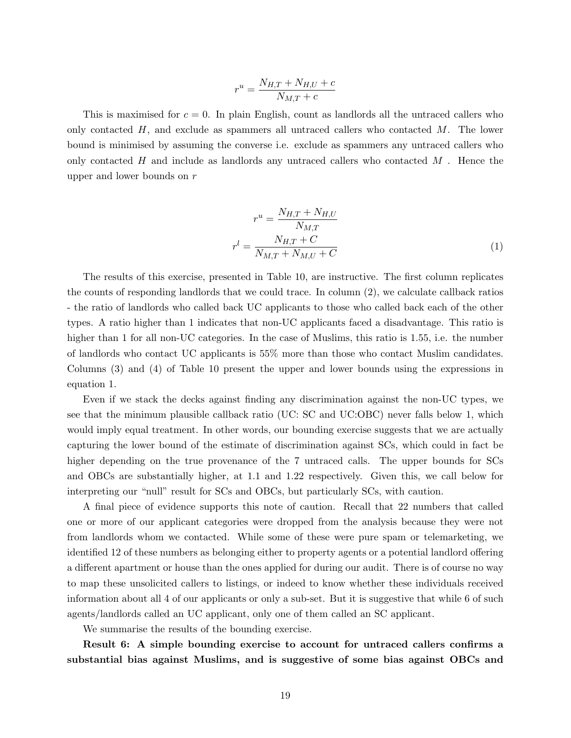$$
r^u = \frac{N_{H,T} + N_{H,U} + c}{N_{M,T} + c}
$$

This is maximised for  $c = 0$ . In plain English, count as landlords all the untraced callers who only contacted  $H$ , and exclude as spammers all untraced callers who contacted  $M$ . The lower bound is minimised by assuming the converse i.e. exclude as spammers any untraced callers who only contacted  $H$  and include as landlords any untraced callers who contacted  $M$ . Hence the upper and lower bounds on r

$$
r^{u} = \frac{N_{H,T} + N_{H,U}}{N_{M,T}}
$$

$$
r^{l} = \frac{N_{H,T} + C}{N_{M,T} + N_{M,U} + C}
$$
(1)

The results of this exercise, presented in Table 10, are instructive. The first column replicates the counts of responding landlords that we could trace. In column (2), we calculate callback ratios - the ratio of landlords who called back UC applicants to those who called back each of the other types. A ratio higher than 1 indicates that non-UC applicants faced a disadvantage. This ratio is higher than 1 for all non-UC categories. In the case of Muslims, this ratio is 1.55, i.e. the number of landlords who contact UC applicants is 55% more than those who contact Muslim candidates. Columns (3) and (4) of Table 10 present the upper and lower bounds using the expressions in equation 1.

Even if we stack the decks against finding any discrimination against the non-UC types, we see that the minimum plausible callback ratio (UC: SC and UC:OBC) never falls below 1, which would imply equal treatment. In other words, our bounding exercise suggests that we are actually capturing the lower bound of the estimate of discrimination against SCs, which could in fact be higher depending on the true provenance of the 7 untraced calls. The upper bounds for SCs and OBCs are substantially higher, at 1.1 and 1.22 respectively. Given this, we call below for interpreting our "null" result for SCs and OBCs, but particularly SCs, with caution.

A final piece of evidence supports this note of caution. Recall that 22 numbers that called one or more of our applicant categories were dropped from the analysis because they were not from landlords whom we contacted. While some of these were pure spam or telemarketing, we identified 12 of these numbers as belonging either to property agents or a potential landlord offering a different apartment or house than the ones applied for during our audit. There is of course no way to map these unsolicited callers to listings, or indeed to know whether these individuals received information about all 4 of our applicants or only a sub-set. But it is suggestive that while 6 of such agents/landlords called an UC applicant, only one of them called an SC applicant.

We summarise the results of the bounding exercise.

Result 6: A simple bounding exercise to account for untraced callers confirms a substantial bias against Muslims, and is suggestive of some bias against OBCs and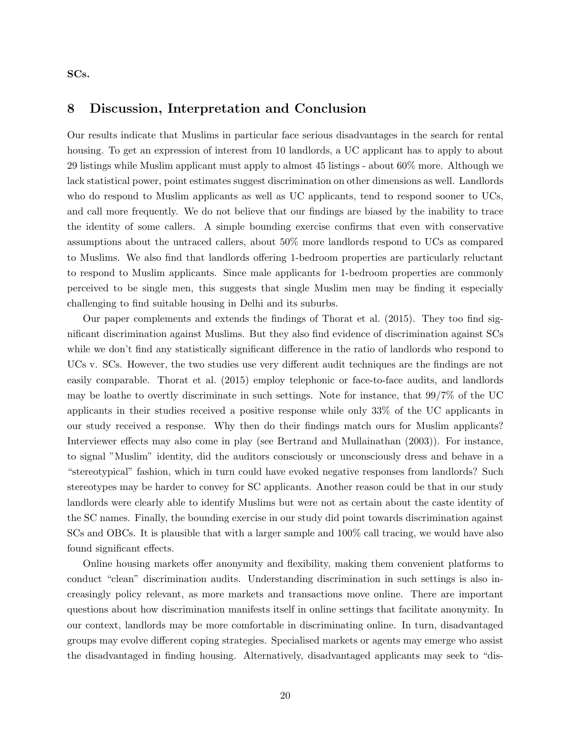SCs.

#### 8 Discussion, Interpretation and Conclusion

Our results indicate that Muslims in particular face serious disadvantages in the search for rental housing. To get an expression of interest from 10 landlords, a UC applicant has to apply to about 29 listings while Muslim applicant must apply to almost 45 listings - about 60% more. Although we lack statistical power, point estimates suggest discrimination on other dimensions as well. Landlords who do respond to Muslim applicants as well as UC applicants, tend to respond sooner to UCs, and call more frequently. We do not believe that our findings are biased by the inability to trace the identity of some callers. A simple bounding exercise confirms that even with conservative assumptions about the untraced callers, about 50% more landlords respond to UCs as compared to Muslims. We also find that landlords offering 1-bedroom properties are particularly reluctant to respond to Muslim applicants. Since male applicants for 1-bedroom properties are commonly perceived to be single men, this suggests that single Muslim men may be finding it especially challenging to find suitable housing in Delhi and its suburbs.

Our paper complements and extends the findings of Thorat et al. (2015). They too find significant discrimination against Muslims. But they also find evidence of discrimination against SCs while we don't find any statistically significant difference in the ratio of landlords who respond to UCs v. SCs. However, the two studies use very different audit techniques are the findings are not easily comparable. Thorat et al. (2015) employ telephonic or face-to-face audits, and landlords may be loathe to overtly discriminate in such settings. Note for instance, that 99/7% of the UC applicants in their studies received a positive response while only 33% of the UC applicants in our study received a response. Why then do their findings match ours for Muslim applicants? Interviewer effects may also come in play (see Bertrand and Mullainathan (2003)). For instance, to signal "Muslim" identity, did the auditors consciously or unconsciously dress and behave in a "stereotypical" fashion, which in turn could have evoked negative responses from landlords? Such stereotypes may be harder to convey for SC applicants. Another reason could be that in our study landlords were clearly able to identify Muslims but were not as certain about the caste identity of the SC names. Finally, the bounding exercise in our study did point towards discrimination against SCs and OBCs. It is plausible that with a larger sample and 100% call tracing, we would have also found significant effects.

Online housing markets offer anonymity and flexibility, making them convenient platforms to conduct "clean" discrimination audits. Understanding discrimination in such settings is also increasingly policy relevant, as more markets and transactions move online. There are important questions about how discrimination manifests itself in online settings that facilitate anonymity. In our context, landlords may be more comfortable in discriminating online. In turn, disadvantaged groups may evolve different coping strategies. Specialised markets or agents may emerge who assist the disadvantaged in finding housing. Alternatively, disadvantaged applicants may seek to "dis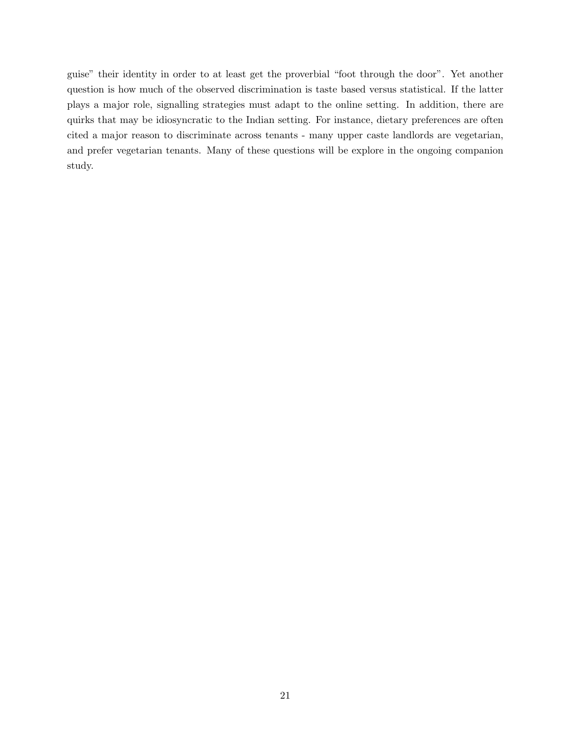guise" their identity in order to at least get the proverbial "foot through the door". Yet another question is how much of the observed discrimination is taste based versus statistical. If the latter plays a major role, signalling strategies must adapt to the online setting. In addition, there are quirks that may be idiosyncratic to the Indian setting. For instance, dietary preferences are often cited a major reason to discriminate across tenants - many upper caste landlords are vegetarian, and prefer vegetarian tenants. Many of these questions will be explore in the ongoing companion study.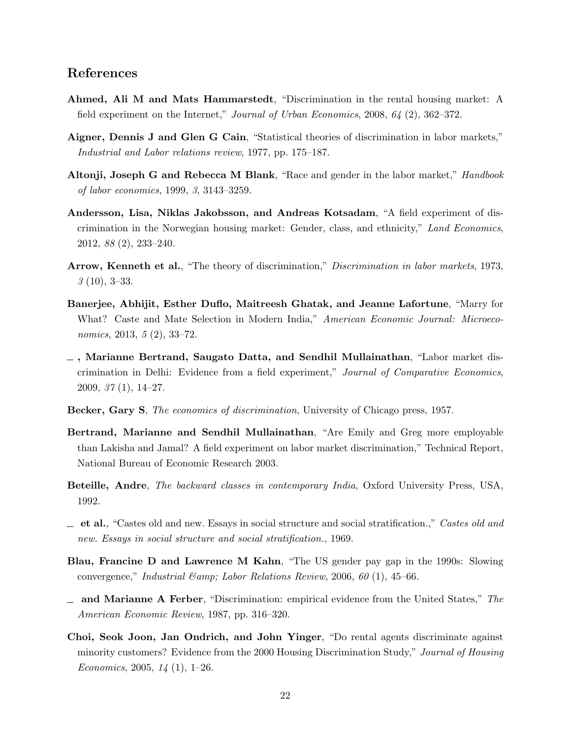### References

- Ahmed, Ali M and Mats Hammarstedt, "Discrimination in the rental housing market: A field experiment on the Internet," Journal of Urban Economics, 2008, 64 (2), 362–372.
- Aigner, Dennis J and Glen G Cain, "Statistical theories of discrimination in labor markets," Industrial and Labor relations review, 1977, pp. 175–187.
- Altonji, Joseph G and Rebecca M Blank, "Race and gender in the labor market," Handbook of labor economics, 1999, 3, 3143–3259.
- Andersson, Lisa, Niklas Jakobsson, and Andreas Kotsadam, "A field experiment of discrimination in the Norwegian housing market: Gender, class, and ethnicity," Land Economics, 2012, 88 (2), 233–240.
- Arrow, Kenneth et al., "The theory of discrimination," Discrimination in labor markets, 1973, 3 (10), 3–33.
- Banerjee, Abhijit, Esther Duflo, Maitreesh Ghatak, and Jeanne Lafortune, "Marry for What? Caste and Mate Selection in Modern India," American Economic Journal: Microeconomics, 2013, 5 (2), 33–72.
- $\overline{\phantom{a}}$ , Marianne Bertrand, Saugato Datta, and Sendhil Mullainathan, "Labor market discrimination in Delhi: Evidence from a field experiment," Journal of Comparative Economics, 2009, 37 (1), 14–27.
- Becker, Gary S, The economics of discrimination, University of Chicago press, 1957.
- Bertrand, Marianne and Sendhil Mullainathan, "Are Emily and Greg more employable than Lakisha and Jamal? A field experiment on labor market discrimination," Technical Report, National Bureau of Economic Research 2003.
- Beteille, Andre, The backward classes in contemporary India, Oxford University Press, USA, 1992.
- $\equiv$  et al., "Castes old and new. Essays in social structure and social stratification.," Castes old and new. Essays in social structure and social stratification., 1969.
- Blau, Francine D and Lawrence M Kahn, "The US gender pay gap in the 1990s: Slowing convergence," Industrial  $\mathcal{E}$ amp; Labor Relations Review, 2006, 60 (1), 45–66.
- $\Box$  and Marianne A Ferber, "Discrimination: empirical evidence from the United States," The American Economic Review, 1987, pp. 316–320.
- Choi, Seok Joon, Jan Ondrich, and John Yinger, "Do rental agents discriminate against minority customers? Evidence from the 2000 Housing Discrimination Study," Journal of Housing Economics, 2005,  $14(1)$ , 1–26.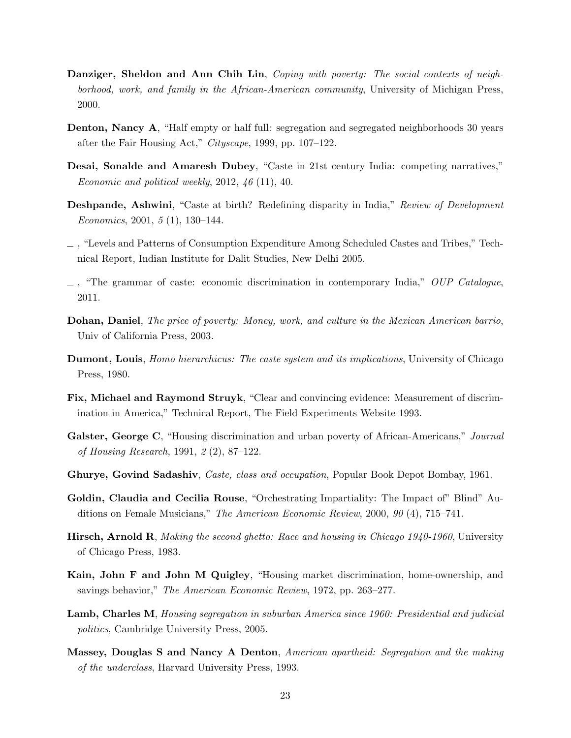- Danziger, Sheldon and Ann Chih Lin, Coping with poverty: The social contexts of neighborhood, work, and family in the African-American community, University of Michigan Press, 2000.
- Denton, Nancy A, "Half empty or half full: segregation and segregated neighborhoods 30 years after the Fair Housing Act," Cityscape, 1999, pp. 107–122.
- Desai, Sonalde and Amaresh Dubey, "Caste in 21st century India: competing narratives," Economic and political weekly, 2012, 46 (11), 40.
- Deshpande, Ashwini, "Caste at birth? Redefining disparity in India," Review of Development Economics, 2001,  $5(1)$ , 130–144.
- , "Levels and Patterns of Consumption Expenditure Among Scheduled Castes and Tribes," Technical Report, Indian Institute for Dalit Studies, New Delhi 2005.
- $\Box$ , "The grammar of caste: economic discrimination in contemporary India," OUP Catalogue, 2011.
- Dohan, Daniel, The price of poverty: Money, work, and culture in the Mexican American barrio, Univ of California Press, 2003.
- **Dumont, Louis**, *Homo hierarchicus: The caste system and its implications*, University of Chicago Press, 1980.
- Fix, Michael and Raymond Struyk, "Clear and convincing evidence: Measurement of discrimination in America," Technical Report, The Field Experiments Website 1993.
- Galster, George C, "Housing discrimination and urban poverty of African-Americans," Journal of Housing Research, 1991, 2 (2), 87–122.
- Ghurye, Govind Sadashiv, Caste, class and occupation, Popular Book Depot Bombay, 1961.
- Goldin, Claudia and Cecilia Rouse, "Orchestrating Impartiality: The Impact of" Blind" Auditions on Female Musicians," The American Economic Review, 2000, 90 (4), 715–741.
- Hirsch, Arnold R, Making the second ghetto: Race and housing in Chicago 1940-1960, University of Chicago Press, 1983.
- Kain, John F and John M Quigley, "Housing market discrimination, home-ownership, and savings behavior," The American Economic Review, 1972, pp. 263–277.
- Lamb, Charles M, Housing segregation in suburban America since 1960: Presidential and judicial politics, Cambridge University Press, 2005.
- Massey, Douglas S and Nancy A Denton, American apartheid: Segregation and the making of the underclass, Harvard University Press, 1993.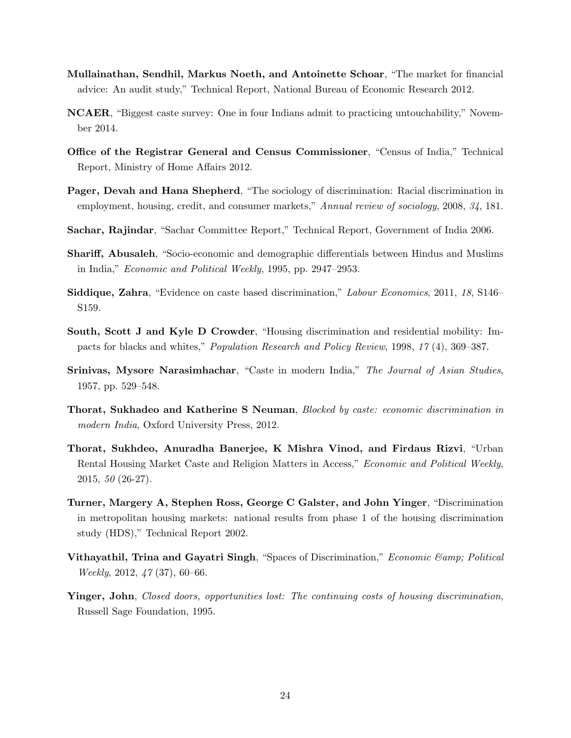- Mullainathan, Sendhil, Markus Noeth, and Antoinette Schoar, "The market for financial advice: An audit study," Technical Report, National Bureau of Economic Research 2012.
- NCAER, "Biggest caste survey: One in four Indians admit to practicing untouchability," November 2014.
- Office of the Registrar General and Census Commissioner, "Census of India," Technical Report, Ministry of Home Affairs 2012.
- Pager, Devah and Hana Shepherd, "The sociology of discrimination: Racial discrimination in employment, housing, credit, and consumer markets," Annual review of sociology, 2008, 34, 181.
- Sachar, Rajindar, "Sachar Committee Report," Technical Report, Government of India 2006.
- Shariff, Abusaleh, "Socio-economic and demographic differentials between Hindus and Muslims in India," Economic and Political Weekly, 1995, pp. 2947–2953.
- Siddique, Zahra, "Evidence on caste based discrimination," Labour Economics, 2011, 18, S146– S159.
- South, Scott J and Kyle D Crowder, "Housing discrimination and residential mobility: Impacts for blacks and whites," Population Research and Policy Review, 1998, 17 (4), 369–387.
- Srinivas, Mysore Narasimhachar, "Caste in modern India," The Journal of Asian Studies, 1957, pp. 529–548.
- Thorat, Sukhadeo and Katherine S Neuman, Blocked by caste: economic discrimination in modern India, Oxford University Press, 2012.
- Thorat, Sukhdeo, Anuradha Banerjee, K Mishra Vinod, and Firdaus Rizvi, "Urban Rental Housing Market Caste and Religion Matters in Access," Economic and Political Weekly, 2015, 50 (26-27).
- Turner, Margery A, Stephen Ross, George C Galster, and John Yinger, "Discrimination in metropolitan housing markets: national results from phase 1 of the housing discrimination study (HDS)," Technical Report 2002.
- Vithayathil, Trina and Gayatri Singh, "Spaces of Discrimination," *Economic Camp*; Political Weekly, 2012, 47 (37), 60–66.
- Yinger, John, Closed doors, opportunities lost: The continuing costs of housing discrimination, Russell Sage Foundation, 1995.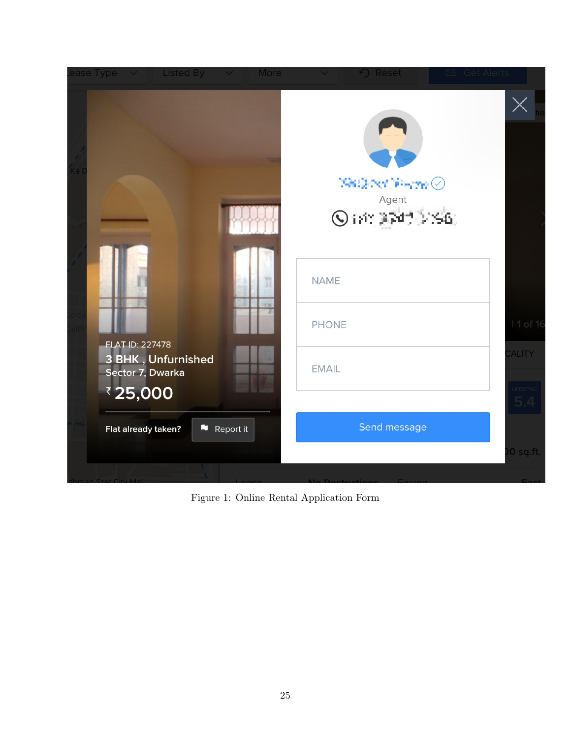

Figure 1: Online Rental Application Form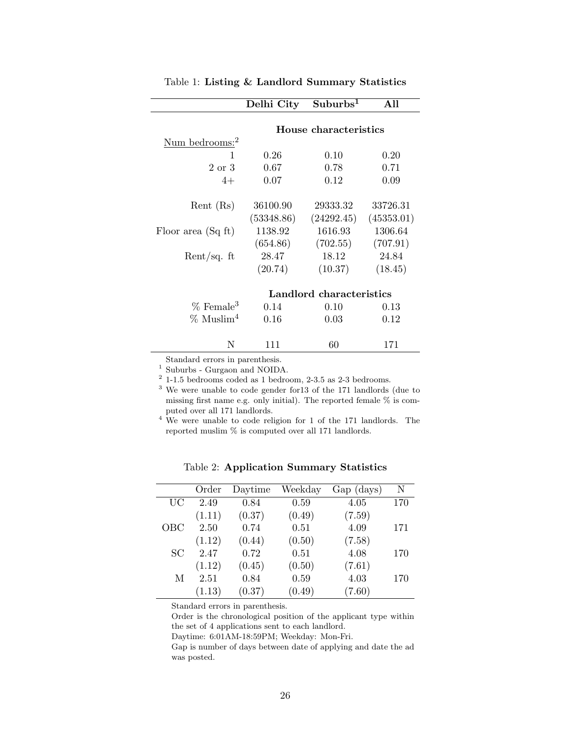|                               | Delhi City | Suburbs <sup>1</sup>     | All        |
|-------------------------------|------------|--------------------------|------------|
|                               |            |                          |            |
|                               |            | House characteristics    |            |
| Num bedrooms: <sup>2</sup>    |            |                          |            |
| 1                             | 0.26       | 0.10                     | 0.20       |
| 2 or 3                        | 0.67       | 0.78                     | 0.71       |
| $4+$                          | 0.07       | 0.12                     | 0.09       |
| $\text{Rent}$ ( $\text{Rs}$ ) | 36100.90   | 29333.32                 | 33726.31   |
|                               | (53348.86) | (24292.45)               | (45353.01) |
| Floor area (Sq ft)            | 1138.92    | 1616.93                  | 1306.64    |
|                               | (654.86)   | (702.55)                 | (707.91)   |
| Rent/sq. $ft$                 | 28.47      | 18.12                    | 24.84      |
|                               | (20.74)    | (10.37)                  | (18.45)    |
|                               |            | Landlord characteristics |            |
|                               |            |                          |            |
| $%$ Female <sup>3</sup>       | 0.14       | 0.10                     | 0.13       |
| $\%$ Muslim <sup>4</sup>      | $0.16\,$   | 0.03                     | 0.12       |
| N                             | 111        | 60                       | 171        |

Table 1: Listing & Landlord Summary Statistics

Standard errors in parenthesis.

<sup>1</sup> Suburbs - Gurgaon and NOIDA.

 $2$  1-1.5 bedrooms coded as 1 bedroom, 2-3.5 as 2-3 bedrooms.

<sup>3</sup> We were unable to code gender for13 of the 171 landlords (due to missing first name e.g. only initial). The reported female % is computed over all 171 landlords.

<sup>4</sup> We were unable to code religion for 1 of the 171 landlords. The reported muslim % is computed over all 171 landlords.

|     | Order  | Daytime | Weekday | Gap (days) | N   |
|-----|--------|---------|---------|------------|-----|
| UC  | 2.49   | 0.84    | 0.59    | 4.05       | 170 |
|     | (1.11) | (0.37)  | (0.49)  | (7.59)     |     |
| OBC | 2.50   | 0.74    | 0.51    | 4.09       | 171 |
|     | (1.12) | (0.44)  | (0.50)  | (7.58)     |     |
| SC  | 2.47   | 0.72    | 0.51    | 4.08       | 170 |
|     | (1.12) | (0.45)  | (0.50)  | (7.61)     |     |
| М   | 2.51   | 0.84    | 0.59    | 4.03       | 170 |
|     | (1.13) | (0.37)  | (0.49)  | (7.60)     |     |

Table 2: Application Summary Statistics

Standard errors in parenthesis.

Order is the chronological position of the applicant type within the set of 4 applications sent to each landlord.

Daytime: 6:01AM-18:59PM; Weekday: Mon-Fri.

Gap is number of days between date of applying and date the ad was posted.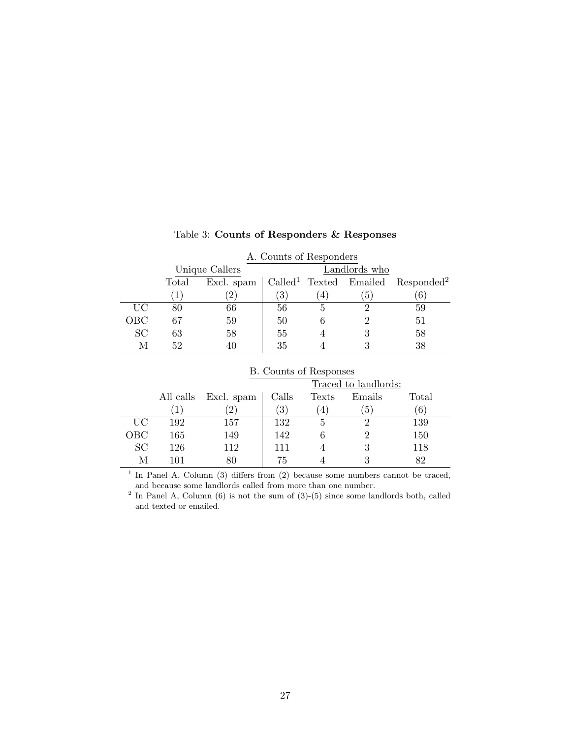|           | A. Counts of Responders |                |                  |   |               |                                                                              |
|-----------|-------------------------|----------------|------------------|---|---------------|------------------------------------------------------------------------------|
|           |                         | Unique Callers |                  |   | Landlords who |                                                                              |
|           | Total                   |                |                  |   |               | Excl. spam $\vert$ Called <sup>1</sup> Texted Emailed Responded <sup>2</sup> |
|           | $\mathbf{1}^{\circ}$    | $\overline{2}$ | $\left(3\right)$ | 4 | 5             |                                                                              |
| <b>UC</b> | 80                      | 66             | 56               |   |               | 59                                                                           |
| OBC       | 67                      | 59             | 50               |   |               | 51                                                                           |
| <b>SC</b> | 63                      | 58             | 55               |   |               | 58                                                                           |
|           | 52                      |                | 35               |   |               | 38                                                                           |

#### Table 3: Counts of Responders & Responses

|     | <b>B.</b> Counts of Responses |            |                  |                  |                      |       |  |
|-----|-------------------------------|------------|------------------|------------------|----------------------|-------|--|
|     |                               |            |                  |                  | Traced to landlords: |       |  |
|     | All calls                     | Excl. spam | Calls            | Texts            | Emails               | Total |  |
|     | $^{\prime}$ 1                 |            | $\left(3\right)$ | $\left(4\right)$ | $\left(5\right)$     | (6)   |  |
| UC  | 192                           | 157        | 132              | 5                | 2                    | 139   |  |
| ОВС | 165                           | 149        | 142              | 6                |                      | 150   |  |
| SC  | 126                           | 112        | 111              |                  | 3                    | 118   |  |
| М   | 101                           |            | 75               |                  |                      | 82    |  |

<sup>1</sup> In Panel A, Column (3) differs from (2) because some numbers cannot be traced,

and because some landlords called from more than one number.<br><sup>2</sup> In Panel A, Column (6) is not the sum of (3)-(5) since some landlords both, called and texted or emailed.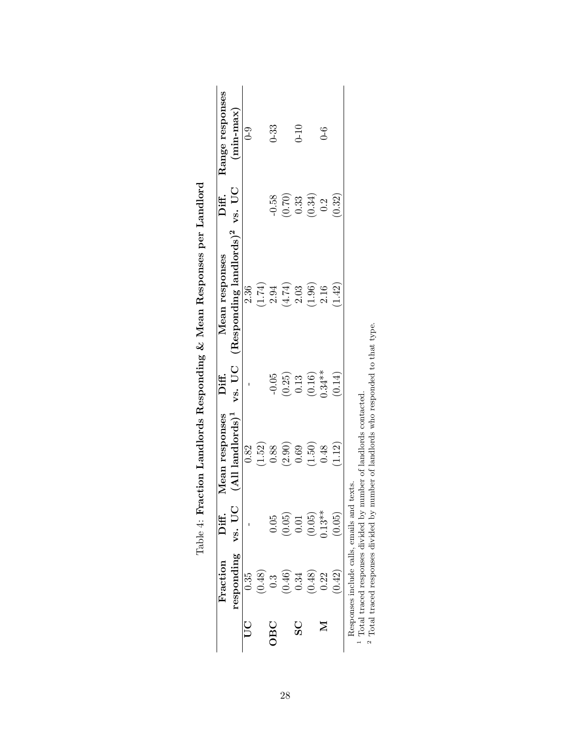| $(0.16)$<br>$0.34**$<br>$-0.05$<br>$\begin{array}{c} (0.25) \ 0.13 \end{array}$<br>$(AII$ landlords) <sup>1</sup><br>(1.52)<br>(2.90)<br>(1.50)<br>(1.12)<br>0.88<br>0.82<br>0.69<br>0.48<br>vs. UC<br>$0.13***$<br>$(0.05)$<br>$(0.05)$<br>0.01<br>(0.05)<br>0.05<br>responding<br>(0.48)<br>(0.42)<br>(0.48)<br>(0.46)<br>0.34<br>0.35<br>0.22<br>$\ddot{0}$ .<br><b>SC</b><br>OBC | Mean responses<br>Diff.<br>Mean responses         | Range responses<br>Diff.                              |
|--------------------------------------------------------------------------------------------------------------------------------------------------------------------------------------------------------------------------------------------------------------------------------------------------------------------------------------------------------------------------------------|---------------------------------------------------|-------------------------------------------------------|
|                                                                                                                                                                                                                                                                                                                                                                                      | vs. UC (Responding landlords) <sup>2</sup> vs. UC | $(min-max)$                                           |
|                                                                                                                                                                                                                                                                                                                                                                                      | 2.36                                              | $0 - 9$                                               |
|                                                                                                                                                                                                                                                                                                                                                                                      |                                                   |                                                       |
|                                                                                                                                                                                                                                                                                                                                                                                      | $(1.74)$<br>2.94                                  | $0 - 33$<br>$-0.58$                                   |
|                                                                                                                                                                                                                                                                                                                                                                                      | $(4.74)$                                          |                                                       |
|                                                                                                                                                                                                                                                                                                                                                                                      | 2.03                                              | $0 - 10$                                              |
|                                                                                                                                                                                                                                                                                                                                                                                      | (1.96)                                            | $\begin{array}{c} (0.70) \\ 0.33 \\ 0.34 \end{array}$ |
|                                                                                                                                                                                                                                                                                                                                                                                      | 2.16                                              | $6-$<br>0.2                                           |
|                                                                                                                                                                                                                                                                                                                                                                                      | (1.42)<br>(0.14)                                  | (0.32)                                                |

| )<br>)<br>j                                   |
|-----------------------------------------------|
| l                                             |
| ļ                                             |
|                                               |
| Ï<br>l<br>$\mathfrak{g}$                      |
| ひてきり てらら<br>I                                 |
| ;<br>l<br>ļ                                   |
| $\frac{1}{2}$<br>i<br>}<br>1<br>$\frac{1}{1}$ |

 $\overline{a}$ Total traced responses divided by number of landlords contacted.

Total traced responses divided by number of landlords who responded to that type.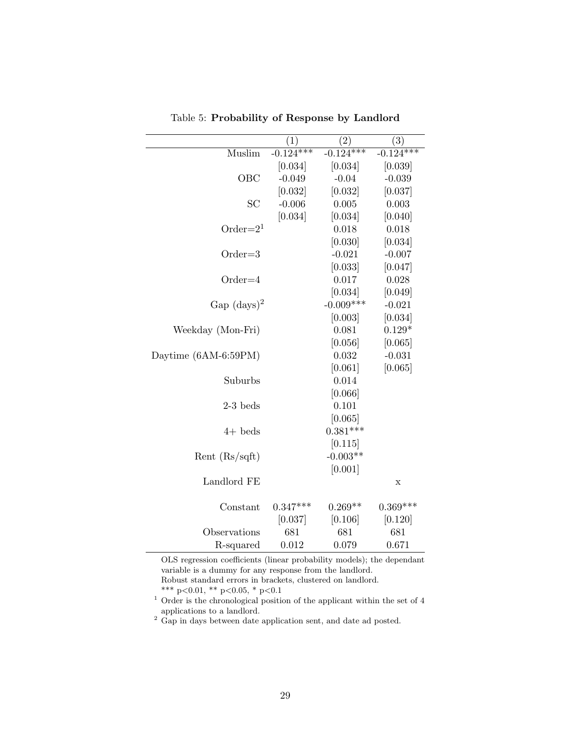|                      | $\left( 1\right)$ | (2)         | (3)         |
|----------------------|-------------------|-------------|-------------|
| Muslim               | $-0.124***$       | $-0.124***$ | $-0.124***$ |
|                      | [0.034]           | [0.034]     | [0.039]     |
| OBC                  | $-0.049$          | $-0.04$     | $-0.039$    |
|                      | [0.032]           | [0.032]     | [0.037]     |
| SC                   | $-0.006$          | 0.005       | 0.003       |
|                      | [0.034]           | [0.034]     | [0.040]     |
| Order= $21$          |                   | 0.018       | 0.018       |
|                      |                   | [0.030]     | [0.034]     |
| $Order = 3$          |                   | $-0.021$    | $-0.007$    |
|                      |                   | [0.033]     | [0.047]     |
| $Order=4$            |                   | 0.017       | 0.028       |
|                      |                   | [0.034]     | [0.049]     |
| $Gap (days)^2$       |                   | $-0.009***$ | $-0.021$    |
|                      |                   | [0.003]     | [0.034]     |
| Weekday (Mon-Fri)    |                   | 0.081       | $0.129*$    |
|                      |                   | [0.056]     | [0.065]     |
| Daytime (6AM-6:59PM) |                   | 0.032       | $-0.031$    |
|                      |                   | [0.061]     | [0.065]     |
| Suburbs              |                   | 0.014       |             |
|                      |                   | [0.066]     |             |
| $2-3$ beds           |                   | 0.101       |             |
|                      |                   | [0.065]     |             |
| $4+$ beds            |                   | $0.381***$  |             |
|                      |                   | [0.115]     |             |
| Rent $(Rs/sqft)$     |                   | $-0.003**$  |             |
|                      |                   | [0.001]     |             |
| Landlord FE          |                   |             | Х           |
| Constant             | $0.347***$        | $0.269**$   | $0.369***$  |
|                      | [0.037]           | [0.106]     | [0.120]     |
| Observations         | 681               | 681         | 681         |
| R-squared            | 0.012             | 0.079       | 0.671       |

Table 5: Probability of Response by Landlord

OLS regression coefficients (linear probability models); the dependant variable is a dummy for any response from the landlord. Robust standard errors in brackets, clustered on landlord. \*\*\* p<0.01, \*\* p<0.05, \* p<0.1

 $1$  Order is the chronological position of the applicant within the set of 4 applications to a landlord.

 $2$  Gap in days between date application sent, and date ad posted.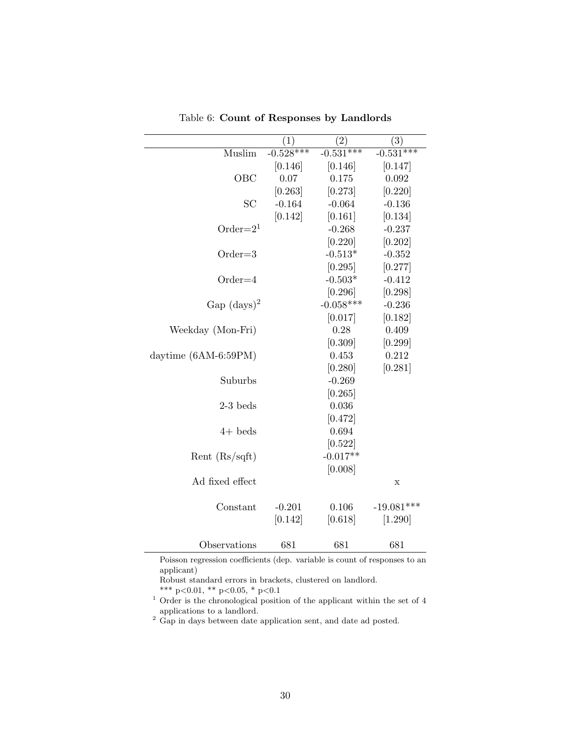|                        | $\left(1\right)$ | $^{'}2)$    | (3)          |
|------------------------|------------------|-------------|--------------|
| Muslim                 | $-0.528***$      | $-0.531***$ | $-0.531***$  |
|                        | [0.146]          | [0.146]     | [0.147]      |
| OBC                    | 0.07             | 0.175       | 0.092        |
|                        | [0.263]          | [0.273]     | [0.220]      |
| SC                     | $-0.164$         | $-0.064$    | $-0.136$     |
|                        | [0.142]          | [0.161]     | [0.134]      |
| Order= $21$            |                  | $-0.268$    | $-0.237$     |
|                        |                  | [0.220]     | [0.202]      |
| $Order = 3$            |                  | $-0.513*$   | $-0.352$     |
|                        |                  | [0.295]     | [0.277]      |
| $Order=4$              |                  | $-0.503*$   | $-0.412$     |
|                        |                  | [0.296]     | [0.298]      |
| $Gap (days)^2$         |                  | $-0.058***$ | $-0.236$     |
|                        |                  | [0.017]     | [0.182]      |
| Weekday (Mon-Fri)      |                  | 0.28        | 0.409        |
|                        |                  | [0.309]     | [0.299]      |
| daytime $(6AM-6:59PM)$ |                  | 0.453       | 0.212        |
|                        |                  | [0.280]     | [0.281]      |
| Suburbs                |                  | $-0.269$    |              |
|                        |                  | [0.265]     |              |
| $2-3$ beds             |                  | 0.036       |              |
|                        |                  | [0.472]     |              |
| $4+$ beds              |                  | 0.694       |              |
|                        |                  | [0.522]     |              |
| Rent $(Rs/sqft)$       |                  | $-0.017**$  |              |
|                        |                  | [0.008]     |              |
| Ad fixed effect        |                  |             | X            |
|                        |                  |             |              |
| Constant               | $-0.201$         | 0.106       | $-19.081***$ |
|                        | [0.142]          | [0.618]     | [1.290]      |
| Observations           | 681              | 681         | 681          |

Table 6: Count of Responses by Landlords

Poisson regression coefficients (dep. variable is count of responses to an applicant)

Robust standard errors in brackets, clustered on landlord.

\*\*\* p<0.01, \*\* p<0.05, \* p<0.1

 $1$  Order is the chronological position of the applicant within the set of 4 applications to a landlord.

 $2$  Gap in days between date application sent, and date ad posted.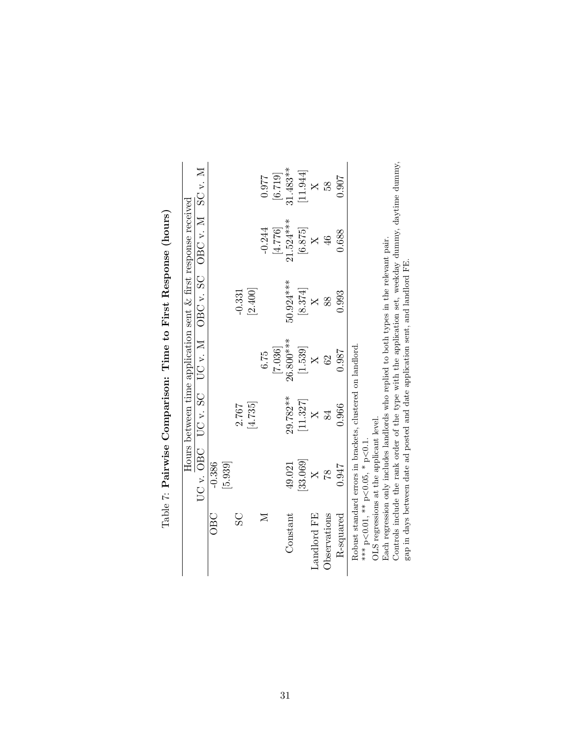|                |                                                                                         |          |           | Hours between time application sent $\&$ first response received |                |            |
|----------------|-----------------------------------------------------------------------------------------|----------|-----------|------------------------------------------------------------------|----------------|------------|
|                | $UC$ v. OBC $UC$ v. SC                                                                  |          |           | $UC$ v. M OBC v. SC v. M SC v. M                                 |                |            |
| OBC            | $-0.386$                                                                                |          |           |                                                                  |                |            |
|                | [5.939]                                                                                 |          |           |                                                                  |                |            |
| $\overline{S}$ |                                                                                         | 2.767    |           | $-0.331$                                                         |                |            |
|                |                                                                                         | [4.735]  |           | [2.400]                                                          |                |            |
| $\mathbb{Z}$   |                                                                                         |          | 6.75      |                                                                  | $-0.244$       | 0.977      |
|                |                                                                                         |          | [7.036]   |                                                                  | [4.776]        | [6.719]    |
| Constant       | 49.021                                                                                  | 29.782** | 26.800*** | 50.924 ***                                                       | $21.524***$    | $31.483**$ |
|                | 33.069                                                                                  | [11.327] | [1.539]   | $\left[ 8.374\right]$                                            | [6.875]        | [11.944]   |
| Landlord FE    | $\times$                                                                                |          | $\times$  |                                                                  | $\times$       |            |
| Observations   | 81                                                                                      | 84       | 62        | 88                                                               | $\frac{46}{5}$ | 58         |
| R-squared      | 0.947                                                                                   | 0.966    | 0.987     | 0.993                                                            | 0.688          | 0.907      |
|                | Robust standard errors in brackets, clustered on landlord                               |          |           |                                                                  |                |            |
|                | *** $p < 0.01$ , ** $p < 0.05$ , * $p < 0.1$ .                                          |          |           |                                                                  |                |            |
|                | OLS regressions at the applicant level.                                                 |          |           |                                                                  |                |            |
|                | Each regression only includes landlords who replied to both types in the relevant pair. |          |           |                                                                  |                |            |

| $\overline{a}$                   |
|----------------------------------|
| $\sim$<br>Ĺ<br>ĺ                 |
| )<br>1<br>i                      |
|                                  |
| :<br>;<br>;<br>i                 |
| こうし こうじょう りょう<br>l               |
| Ì                                |
| くてききょう                           |
| $\sim$ $\sim$ $\sim$ $\sim$<br>I |
| I                                |
| l                                |

Each regression only includes landlords who replied to both types in the relevant pair.

Eacn regression only mciudes landiords who replied to both types in the relevant pair.<br>Controls include the rank order of the type with the application set, weekday dummy, daytime dummy,<br>gap in days between date ad posted Controls include the rank order of the type with the application set, weekday dummy, daytime dummy, gap in days between date ad posted and date application sent, and landlord FE.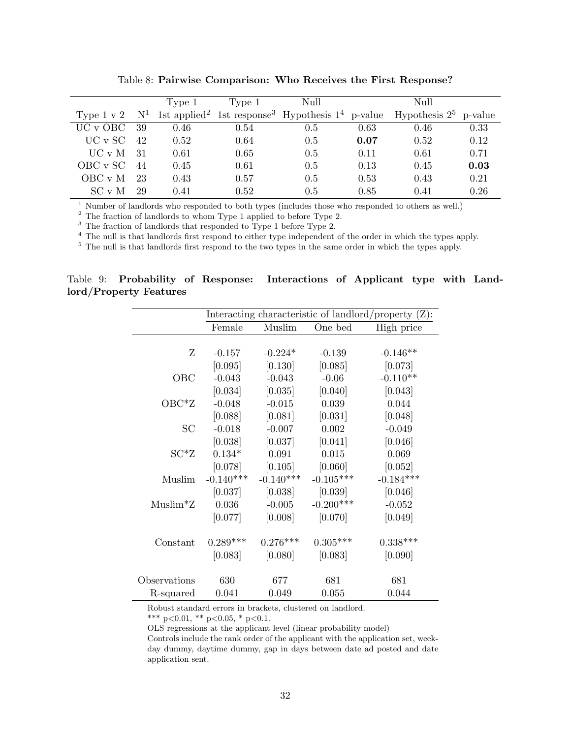|                 |       | Type 1 | Type 1 | Null |      | Null                                                                                                 |      |
|-----------------|-------|--------|--------|------|------|------------------------------------------------------------------------------------------------------|------|
| Type $1 \vee 2$ | $N^1$ |        |        |      |      | 1st applied <sup>2</sup> 1st response <sup>3</sup> Hypothesis $1^4$ p-value Hypothesis $2^5$ p-value |      |
| UC v OBC        | -39   | 0.46   | 0.54   | 0.5  | 0.63 | 0.46                                                                                                 | 0.33 |
| UC v SC         | 42    | 0.52   | 0.64   | 0.5  | 0.07 | 0.52                                                                                                 | 0.12 |
| UC v M          | -31   | 0.61   | 0.65   | 0.5  | 0.11 | 0.61                                                                                                 | 0.71 |
| OBC v SC        | 44    | 0.45   | 0.61   | 0.5  | 0.13 | 0.45                                                                                                 | 0.03 |
| OBC v M         | 23    | 0.43   | 0.57   | 0.5  | 0.53 | 0.43                                                                                                 | 0.21 |
| SCvM            | 29    | 0.41   | 0.52   | 0.5  | 0.85 | 0.41                                                                                                 | 0.26 |

Table 8: Pairwise Comparison: Who Receives the First Response?

<sup>1</sup> Number of landlords who responded to both types (includes those who responded to others as well.)

<sup>2</sup> The fraction of landlords to whom Type 1 applied to before Type 2.

 $3$  The fraction of landlords that responded to Type 1 before Type 2.

<sup>4</sup> The null is that landlords first respond to either type independent of the order in which the types apply.

<sup>5</sup> The null is that landlords first respond to the two types in the same order in which the types apply.

Table 9: Probability of Response: Interactions of Applicant type with Landlord/Property Features

|              |             |             |             | Interacting characteristic of landlord/property $(Z)$ : |
|--------------|-------------|-------------|-------------|---------------------------------------------------------|
|              | Female      | Muslim      | One bed     | High price                                              |
|              |             |             |             |                                                         |
| Z            | $-0.157$    | $-0.224*$   | $-0.139$    | $-0.146**$                                              |
|              | [0.095]     | [0.130]     | [0.085]     | [0.073]                                                 |
| OBC          | $-0.043$    | $-0.043$    | $-0.06$     | $-0.110**$                                              |
|              | [0.034]     | [0.035]     | [0.040]     | [0.043]                                                 |
| $OBC^*Z$     | $-0.048$    | $-0.015$    | 0.039       | 0.044                                                   |
|              | [0.088]     | [0.081]     | [0.031]     | [0.048]                                                 |
| SC           | $-0.018$    | $-0.007$    | 0.002       | $-0.049$                                                |
|              | [0.038]     | [0.037]     | [0.041]     | [0.046]                                                 |
| $SC^*Z$      | $0.134*$    | 0.091       | 0.015       | 0.069                                                   |
|              | [0.078]     | [0.105]     | [0.060]     | [0.052]                                                 |
| Muslim       | $-0.140***$ | $-0.140***$ | $-0.105***$ | $-0.184***$                                             |
|              | [0.037]     | [0.038]     | [0.039]     | [0.046]                                                 |
| $Muslim*Z$   | 0.036       | $-0.005$    | $-0.200***$ | $-0.052$                                                |
|              | [0.077]     | [0.008]     | [0.070]     | [0.049]                                                 |
|              |             |             |             |                                                         |
| Constant     | $0.289***$  | $0.276***$  | $0.305***$  | $0.338***$                                              |
|              | [0.083]     | [0.080]     | [0.083]     | [0.090]                                                 |
|              |             |             |             |                                                         |
| Observations | 630         | 677         | 681         | 681                                                     |
| R-squared    | 0.041       | 0.049       | 0.055       | 0.044                                                   |

Robust standard errors in brackets, clustered on landlord.

\*\*\* p<0.01, \*\* p<0.05, \* p<0.1.

OLS regressions at the applicant level (linear probability model)

Controls include the rank order of the applicant with the application set, weekday dummy, daytime dummy, gap in days between date ad posted and date application sent.